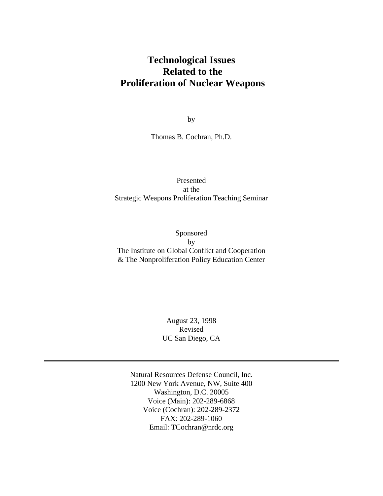# **Technological Issues Related to the Proliferation of Nuclear Weapons**

by

Thomas B. Cochran, Ph.D.

## Presented at the Strategic Weapons Proliferation Teaching Seminar

Sponsored by The Institute on Global Conflict and Cooperation & The Nonproliferation Policy Education Center

> August 23, 1998 Revised UC San Diego, CA

Natural Resources Defense Council, Inc. 1200 New York Avenue, NW, Suite 400 Washington, D.C. 20005 Voice (Main): 202-289-6868 Voice (Cochran): 202-289-2372 FAX: 202-289-1060 Email: TCochran@nrdc.org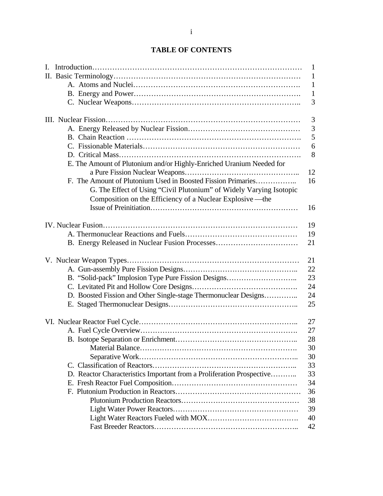|                                                                       | $\mathbf{1}$ |
|-----------------------------------------------------------------------|--------------|
|                                                                       | $\mathbf{1}$ |
|                                                                       | $\mathbf{1}$ |
|                                                                       | $\mathbf{1}$ |
|                                                                       | 3            |
|                                                                       | 3            |
|                                                                       | 3            |
|                                                                       | 5            |
|                                                                       | 6            |
|                                                                       | 8            |
|                                                                       |              |
| E. The Amount of Plutonium and/or Highly-Enriched Uranium Needed for  |              |
|                                                                       | 12           |
| F. The Amount of Plutonium Used in Boosted Fission Primaries          | 16           |
| G. The Effect of Using "Civil Plutonium" of Widely Varying Isotopic   |              |
| Composition on the Efficiency of a Nuclear Explosive—the              |              |
|                                                                       | 16           |
|                                                                       | 19           |
|                                                                       | 19           |
|                                                                       | 21           |
|                                                                       |              |
|                                                                       | 21           |
|                                                                       | 22           |
| B. "Solid-pack" Implosion Type Pure Fission Designs                   | 23           |
|                                                                       | 24           |
| D. Boosted Fission and Other Single-stage Thermonuclear Designs       | 24           |
|                                                                       | 25           |
|                                                                       |              |
|                                                                       | 27           |
|                                                                       | 27           |
|                                                                       | 28           |
|                                                                       | 30           |
|                                                                       | 30           |
|                                                                       | 33           |
| D. Reactor Characteristics Important from a Proliferation Prospective | 33           |
|                                                                       | 34           |
|                                                                       | 36           |
|                                                                       | 38           |
|                                                                       | 39           |
|                                                                       | 40           |
|                                                                       | 42           |
|                                                                       |              |

# **TABLE OF CONTENTS**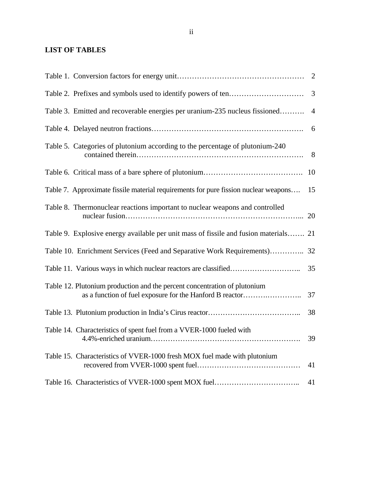# **LIST OF TABLES**

|                                                                                                                                       | 3              |
|---------------------------------------------------------------------------------------------------------------------------------------|----------------|
| Table 3. Emitted and recoverable energies per uranium-235 nucleus fissioned                                                           | $\overline{4}$ |
|                                                                                                                                       | 6              |
| Table 5. Categories of plutonium according to the percentage of plutonium-240                                                         | 8              |
|                                                                                                                                       | 10             |
| Table 7. Approximate fissile material requirements for pure fission nuclear weapons                                                   | 15             |
| Table 8. Thermonuclear reactions important to nuclear weapons and controlled                                                          |                |
| Table 9. Explosive energy available per unit mass of fissile and fusion materials 21                                                  |                |
| Table 10. Enrichment Services (Feed and Separative Work Requirements) 32                                                              |                |
|                                                                                                                                       | 35             |
| Table 12. Plutonium production and the percent concentration of plutonium<br>as a function of fuel exposure for the Hanford B reactor | 37             |
|                                                                                                                                       | 38             |
| Table 14. Characteristics of spent fuel from a VVER-1000 fueled with                                                                  | 39             |
| Table 15. Characteristics of VVER-1000 fresh MOX fuel made with plutonium                                                             | 41             |
|                                                                                                                                       | 41             |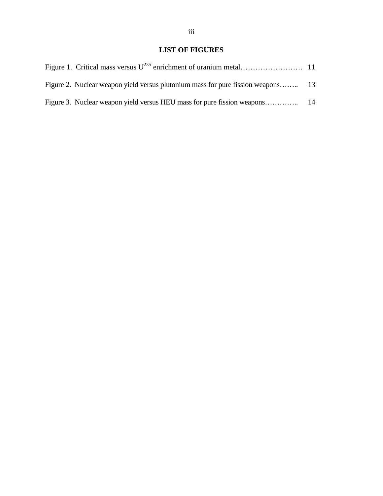## **LIST OF FIGURES**

| Figure 2. Nuclear weapon yield versus plutonium mass for pure fission weapons 13 |  |
|----------------------------------------------------------------------------------|--|
|                                                                                  |  |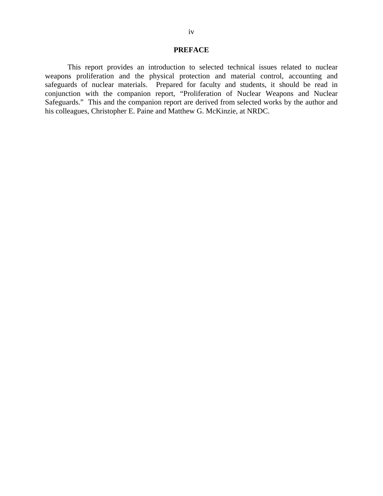#### **PREFACE**

This report provides an introduction to selected technical issues related to nuclear weapons proliferation and the physical protection and material control, accounting and safeguards of nuclear materials. Prepared for faculty and students, it should be read in conjunction with the companion report, "Proliferation of Nuclear Weapons and Nuclear Safeguards." This and the companion report are derived from selected works by the author and his colleagues, Christopher E. Paine and Matthew G. McKinzie, at NRDC.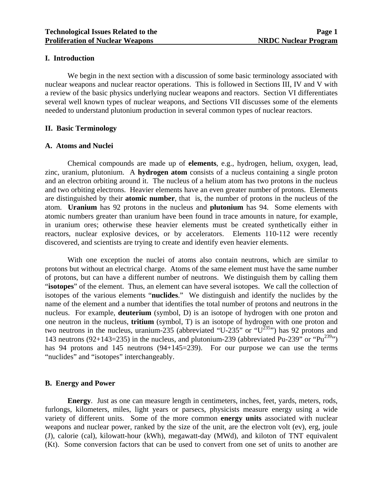#### **I. Introduction**

 We begin in the next section with a discussion of some basic terminology associated with nuclear weapons and nuclear reactor operations. This is followed in Sections III, IV and V with a review of the basic physics underlying nuclear weapons and reactors. Section VI differentiates several well known types of nuclear weapons, and Sections VII discusses some of the elements needed to understand plutonium production in several common types of nuclear reactors.

#### **II. Basic Terminology**

#### **A. Atoms and Nuclei**

 Chemical compounds are made up of **elements**, e.g., hydrogen, helium, oxygen, lead, zinc, uranium, plutonium. A **hydrogen atom** consists of a nucleus containing a single proton and an electron orbiting around it. The nucleus of a helium atom has two protons in the nucleus and two orbiting electrons. Heavier elements have an even greater number of protons. Elements are distinguished by their **atomic number**, that is, the number of protons in the nucleus of the atom. **Uranium** has 92 protons in the nucleus and **plutonium** has 94. Some elements with atomic numbers greater than uranium have been found in trace amounts in nature, for example, in uranium ores; otherwise these heavier elements must be created synthetically either in reactors, nuclear explosive devices, or by accelerators. Elements 110-112 were recently discovered, and scientists are trying to create and identify even heavier elements.

 With one exception the nuclei of atoms also contain neutrons, which are similar to protons but without an electrical charge. Atoms of the same element must have the same number of protons, but can have a different number of neutrons. We distinguish them by calling them "**isotopes**" of the element. Thus, an element can have several isotopes. We call the collection of isotopes of the various elements "**nuclides**." We distinguish and identify the nuclides by the name of the element and a number that identifies the total number of protons and neutrons in the nucleus. For example, **deuterium** (symbol, D) is an isotope of hydrogen with one proton and one neutron in the nucleus, **tritium** (symbol, T) is an isotope of hydrogen with one proton and two neutrons in the nucleus, uranium-235 (abbreviated "U-235" or "U<sup>235</sup>") has 92 protons and 143 neutrons (92+143=235) in the nucleus, and plutonium-239 (abbreviated Pu-239" or "Pu<sup>239</sup>") has 94 protons and 145 neutrons (94+145=239). For our purpose we can use the terms "nuclides" and "isotopes" interchangeably.

#### **B. Energy and Power**

**Energy**. Just as one can measure length in centimeters, inches, feet, yards, meters, rods, furlongs, kilometers, miles, light years or parsecs, physicists measure energy using a wide variety of different units. Some of the more common **energy units** associated with nuclear weapons and nuclear power, ranked by the size of the unit, are the electron volt (ev), erg, joule (J), calorie (cal), kilowatt-hour (kWh), megawatt-day (MWd), and kiloton of TNT equivalent (Kt). Some conversion factors that can be used to convert from one set of units to another are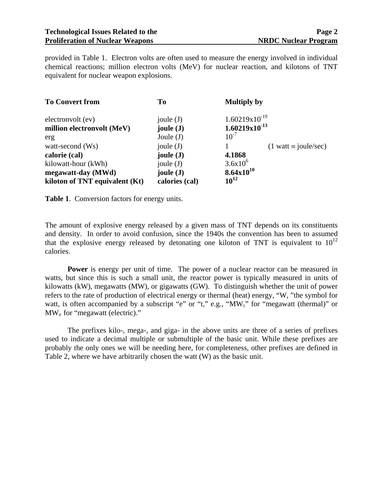provided in Table 1. Electron volts are often used to measure the energy involved in individual chemical reactions; million electron volts (MeV) for nuclear reaction, and kilotons of TNT equivalent for nuclear weapon explosions.

| <b>To Convert from</b>         | T <sub>0</sub>       | <b>Multiply by</b>                         |
|--------------------------------|----------------------|--------------------------------------------|
| electronvolt (ev)              | joule $(J)$          | $1.60219x10^{-19}$                         |
| million electronvolt (MeV)     | joule $(J)$          | $1.60219x10^{-13}$                         |
| erg                            | Joule $(J)$          | $10^{-7}$                                  |
| watt-second (Ws)               | joule $(J)$          | $(1 \text{ watt} \equiv \text{joule/sec})$ |
| calorie (cal)                  | joule $(\mathbf{J})$ | 4.1868                                     |
| kilowatt-hour (kWh)            | joule $(J)$          | $3.6x10^{6}$                               |
| megawatt-day (MWd)             | joule $(J)$          | $8.64x10^{10}$                             |
| kiloton of TNT equivalent (Kt) | calories (cal)       | $10^{12}$                                  |

**Table 1**. Conversion factors for energy units.

The amount of explosive energy released by a given mass of TNT depends on its constituents and density. In order to avoid confusion, since the 1940s the convention has been to assumed that the explosive energy released by detonating one kiloton of TNT is equivalent to  $10^{12}$ calories.

**Power** is energy per unit of time. The power of a nuclear reactor can be measured in watts, but since this is such a small unit, the reactor power is typically measured in units of kilowatts (kW), megawatts (MW), or gigawatts (GW). To distinguish whether the unit of power refers to the rate of production of electrical energy or thermal (heat) energy, "W, "the symbol for watt, is often accompanied by a subscript "e" or "t," e.g., "MW<sub>t</sub>" for "megawatt (thermal)" or MWe for "megawatt (electric)."

 The prefixes kilo-, mega-, and giga- in the above units are three of a series of prefixes used to indicate a decimal multiple or submultiple of the basic unit. While these prefixes are probably the only ones we will be needing here, for completeness, other prefixes are defined in Table 2, where we have arbitrarily chosen the watt (W) as the basic unit.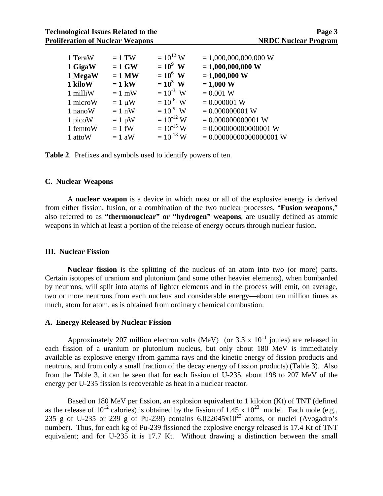|                         |                | $= 1,000,000,000,000$ W                          |
|-------------------------|----------------|--------------------------------------------------|
| $= 1$ GW<br>1 GigaW     | $=10^9$ W      | $= 1,000,000,000$ W                              |
| 1 MegaW<br>$= 1$ MW     | $= 10^6$ W     | $= 1,000,000$ W                                  |
| $= 1$ kW                | $= 10^3$ W     | $= 1,000 W$                                      |
| $= 1$ mW                |                | $= 0.001 W$                                      |
| $= 1 \mu W$<br>1 microW | $= 10^{-6}$ W  | $= 0.000001$ W                                   |
| $= 1$ nW                | $= 10^{-9}$ W  | $= 0.000000001$ W                                |
| $= 1$ pW                |                | $= 0.000000000001$ W                             |
| $= 1$ fW<br>1 femtoW    | $= 10^{-15}$ W | $= 0.000000000000001$ W                          |
| $= 1$ aW                | $= 10^{-18}$ W | $= 0.00000000000000001$ W                        |
|                         | $= 1$ TW       | $= 10^{12}$ W<br>$= 10^{-3}$ W<br>$= 10^{-12}$ W |

**Table 2**. Prefixes and symbols used to identify powers of ten.

#### **C. Nuclear Weapons**

 A **nuclear weapon** is a device in which most or all of the explosive energy is derived from either fission, fusion, or a combination of the two nuclear processes. "**Fusion weapons**," also referred to as **"thermonuclear" or "hydrogen" weapons**, are usually defined as atomic weapons in which at least a portion of the release of energy occurs through nuclear fusion.

#### **III. Nuclear Fission**

**Nuclear fission** is the splitting of the nucleus of an atom into two (or more) parts. Certain isotopes of uranium and plutonium (and some other heavier elements), when bombarded by neutrons, will split into atoms of lighter elements and in the process will emit, on average, two or more neutrons from each nucleus and considerable energy—about ten million times as much, atom for atom, as is obtained from ordinary chemical combustion.

#### **A. Energy Released by Nuclear Fission**

Approximately 207 million electron volts (MeV) (or 3.3 x  $10^{11}$  joules) are released in each fission of a uranium or plutonium nucleus, but only about 180 MeV is immediately available as explosive energy (from gamma rays and the kinetic energy of fission products and neutrons, and from only a small fraction of the decay energy of fission products) (Table 3). Also from the Table 3, it can be seen that for each fission of U-235, about 198 to 207 MeV of the energy per U-235 fission is recoverable as heat in a nuclear reactor.

 Based on 180 MeV per fission, an explosion equivalent to 1 kiloton (Kt) of TNT (defined as the release of  $10^{12}$  calories) is obtained by the fission of 1.45 x  $10^{23}$  nuclei. Each mole (e.g., 235 g of U-235 or 239 g of Pu-239) contains  $6.022045 \times 10^{23}$  atoms, or nuclei (Avogadro's number). Thus, for each kg of Pu-239 fissioned the explosive energy released is 17.4 Kt of TNT equivalent; and for U-235 it is 17.7 Kt. Without drawing a distinction between the small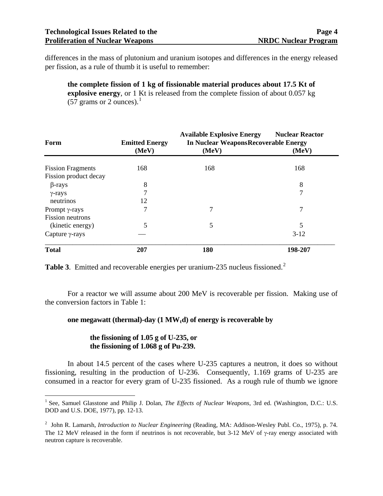differences in the mass of plutonium and uranium isotopes and differences in the energy released per fission, as a rule of thumb it is useful to remember:

**the complete fission of 1 kg of fissionable material produces about 17.5 Kt of explosive energy**, or 1 Kt is released from the complete fission of about 0.057 kg (57 grams or 2 ounces). $<sup>1</sup>$  $<sup>1</sup>$  $<sup>1</sup>$ </sup>

| Form                     | <b>Emitted Energy</b> | <b>Available Explosive Energy</b><br><b>In Nuclear WeaponsRecoverable Energy</b> | <b>Nuclear Reactor</b> |
|--------------------------|-----------------------|----------------------------------------------------------------------------------|------------------------|
|                          | (MeV)                 | (MeV)                                                                            | (MeV)                  |
| <b>Fission Fragments</b> | 168                   | 168                                                                              | 168                    |
| Fission product decay    |                       |                                                                                  |                        |
| $\beta$ -rays            | 8                     |                                                                                  | 8                      |
| $\gamma$ -rays           |                       |                                                                                  | 7                      |
| neutrinos                | 12                    |                                                                                  |                        |
| Prompt $\gamma$ -rays    | 7                     | 7                                                                                | 7                      |
| <b>Fission neutrons</b>  |                       |                                                                                  |                        |
| (kinetic energy)         | 5                     | 5                                                                                | 5                      |
| Capture $\gamma$ -rays   |                       |                                                                                  | $3-12$                 |
| <b>Total</b>             | 207                   | 180                                                                              | 198-207                |

**Table 3.** Emitted and recoverable energies per uranium-[2](#page-8-1)35 nucleus fissioned.<sup>2</sup>

 For a reactor we will assume about 200 MeV is recoverable per fission. Making use of the conversion factors in Table 1:

#### one megawatt (thermal)-day  $(1 \text{ MW}_t d)$  of energy is recoverable by

#### **the fissioning of 1.05 g of U-235, or the fissioning of 1.068 g of Pu-239.**

In about 14.5 percent of the cases where U-235 captures a neutron, it does so without fissioning, resulting in the production of U-236. Consequently, 1.169 grams of U-235 are consumed in a reactor for every gram of U-235 fissioned. As a rough rule of thumb we ignore

<span id="page-8-0"></span><sup>1</sup> <sup>1</sup> See, Samuel Glasstone and Philip J. Dolan, *The Effects of Nuclear Weapons*, 3rd ed. (Washington, D.C.: U.S. DOD and U.S. DOE, 1977), pp. 12-13.

<span id="page-8-1"></span><sup>2</sup> John R. Lamarsh, *Introduction to Nuclear Engineering* (Reading, MA: Addison-Wesley Publ. Co., 1975), p. 74. The 12 MeV released in the form if neutrinos is not recoverable, but 3-12 MeV of  $\gamma$ -ray energy associated with neutron capture is recoverable.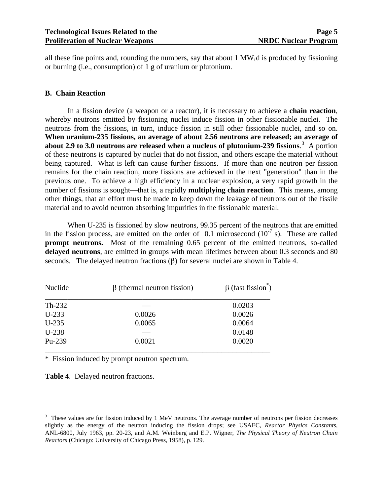all these fine points and, rounding the numbers, say that about  $1 \, MW_t d$  is produced by fissioning or burning (i.e., consumption) of 1 g of uranium or plutonium.

#### **B. Chain Reaction**

 In a fission device (a weapon or a reactor), it is necessary to achieve a **chain reaction**, whereby neutrons emitted by fissioning nuclei induce fission in other fissionable nuclei. The neutrons from the fissions, in turn, induce fission in still other fissionable nuclei, and so on. **When uranium-235 fissions, an average of about 2.56 neutrons are released; an average of**  about 2.9 to [3](#page-9-0).0 neutrons are released when a nucleus of plutonium-239 fissions.<sup>3</sup> A portion of these neutrons is captured by nuclei that do not fission, and others escape the material without being captured. What is left can cause further fissions. If more than one neutron per fission remains for the chain reaction, more fissions are achieved in the next "generation" than in the previous one. To achieve a high efficiency in a nuclear explosion, a very rapid growth in the number of fissions is sought—that is, a rapidly **multiplying chain reaction**. This means, among other things, that an effort must be made to keep down the leakage of neutrons out of the fissile material and to avoid neutron absorbing impurities in the fissionable material.

 When U-235 is fissioned by slow neutrons, 99.35 percent of the neutrons that are emitted in the fission process, are emitted on the order of  $0.1$  microsecond  $(10^{-7} s)$ . These are called **prompt neutrons.** Most of the remaining 0.65 percent of the emitted neutrons, so-called **delayed neutrons**, are emitted in groups with mean lifetimes between about 0.3 seconds and 80 seconds. The delayed neutron fractions  $(\beta)$  for several nuclei are shown in Table 4.

| Nuclide  | $\beta$ (thermal neutron fission) | $\beta$ (fast fission <sup>*</sup> ) |
|----------|-----------------------------------|--------------------------------------|
| $Th-232$ |                                   | 0.0203                               |
| $U-233$  | 0.0026                            | 0.0026                               |
| $U-235$  | 0.0065                            | 0.0064                               |
| $U-238$  |                                   | 0.0148                               |
| Pu-239   | 0.0021                            | 0.0020                               |
|          |                                   |                                      |

\* Fission induced by prompt neutron spectrum.

**Table 4**. Delayed neutron fractions.

 $\overline{a}$ 

<span id="page-9-0"></span> $3$  These values are for fission induced by 1 MeV neutrons. The average number of neutrons per fission decreases slightly as the energy of the neutron inducing the fission drops; see USAEC, *Reactor Physics Constants*, ANL-6800, July 1963, pp. 20-23, and A.M. Weinberg and E.P. Wigner, *The Physical Theory of Neutron Chain Reactors* (Chicago: University of Chicago Press, 1958), p. 129.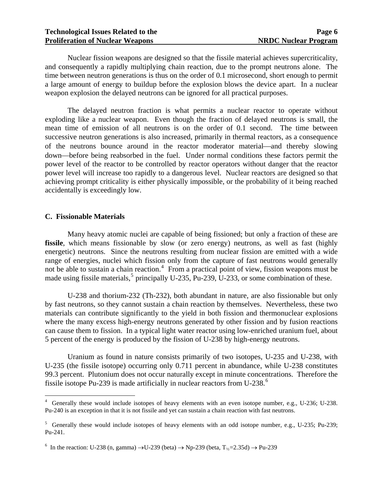Nuclear fission weapons are designed so that the fissile material achieves supercriticality, and consequently a rapidly multiplying chain reaction, due to the prompt neutrons alone. The time between neutron generations is thus on the order of 0.1 microsecond, short enough to permit a large amount of energy to buildup before the explosion blows the device apart. In a nuclear weapon explosion the delayed neutrons can be ignored for all practical purposes.

 The delayed neutron fraction is what permits a nuclear reactor to operate without exploding like a nuclear weapon. Even though the fraction of delayed neutrons is small, the mean time of emission of all neutrons is on the order of 0.1 second. The time between successive neutron generations is also increased, primarily in thermal reactors, as a consequence of the neutrons bounce around in the reactor moderator material—and thereby slowing down—before being reabsorbed in the fuel. Under normal conditions these factors permit the power level of the reactor to be controlled by reactor operators without danger that the reactor power level will increase too rapidly to a dangerous level. Nuclear reactors are designed so that achieving prompt criticality is either physically impossible, or the probability of it being reached accidentally is exceedingly low.

#### **C. Fissionable Materials**

 $\overline{a}$ 

 Many heavy atomic nuclei are capable of being fissioned; but only a fraction of these are fissile, which means fissionable by slow (or zero energy) neutrons, as well as fast (highly energetic) neutrons. Since the neutrons resulting from nuclear fission are emitted with a wide range of energies, nuclei which fission only from the capture of fast neutrons would generally not be able to sustain a chain reaction.<sup>[4](#page-10-0)</sup> From a practical point of view, fission weapons must be made using fissile materials,<sup>[5](#page-10-1)</sup> principally U-235, Pu-239, U-233, or some combination of these.

 U-238 and thorium-232 (Th-232), both abundant in nature, are also fissionable but only by fast neutrons, so they cannot sustain a chain reaction by themselves. Nevertheless, these two materials can contribute significantly to the yield in both fission and thermonuclear explosions where the many excess high-energy neutrons generated by other fission and by fusion reactions can cause them to fission. In a typical light water reactor using low-enriched uranium fuel, about 5 percent of the energy is produced by the fission of U-238 by high-energy neutrons.

 Uranium as found in nature consists primarily of two isotopes, U-235 and U-238, with U-235 (the fissile isotope) occurring only 0.711 percent in abundance, while U-238 constitutes 99.3 percent. Plutonium does not occur naturally except in minute concentrations. Therefore the fissile isotope Pu-239 is made artificially in nuclear reactors from U-238. $^6$  $^6$ 

<span id="page-10-0"></span><sup>&</sup>lt;sup>4</sup> Generally these would include isotopes of heavy elements with an even isotope number, e.g., U-236; U-238. Pu-240 is an exception in that it is not fissile and yet can sustain a chain reaction with fast neutrons.

<span id="page-10-1"></span><sup>&</sup>lt;sup>5</sup> Generally these would include isotopes of heavy elements with an odd isotope number, e.g., U-235; Pu-239; Pu-241.

<span id="page-10-2"></span><sup>&</sup>lt;sup>6</sup> In the reaction: U-238 (n, gamma)  $\rightarrow$  U-239 (beta)  $\rightarrow$  Np-239 (beta, T<sub>12</sub>=2.35d)  $\rightarrow$  Pu-239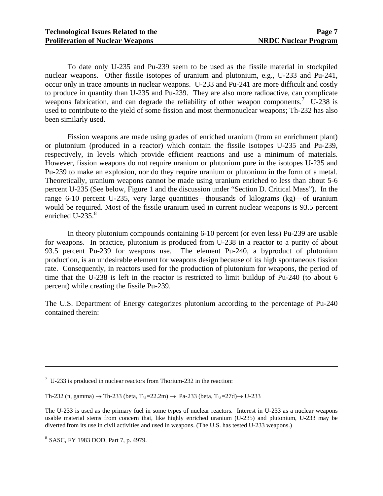To date only U-235 and Pu-239 seem to be used as the fissile material in stockpiled nuclear weapons. Other fissile isotopes of uranium and plutonium, e.g., U-233 and Pu-241, occur only in trace amounts in nuclear weapons. U-233 and Pu-241 are more difficult and costly to produce in quantity than U-235 and Pu-239. They are also more radioactive, can complicate weapons fabrication, and can degrade the reliability of other weapon components.<sup>[7](#page-11-0)</sup> U-238 is used to contribute to the yield of some fission and most thermonuclear weapons; Th-232 has also been similarly used.

 Fission weapons are made using grades of enriched uranium (from an enrichment plant) or plutonium (produced in a reactor) which contain the fissile isotopes U-235 and Pu-239, respectively, in levels which provide efficient reactions and use a minimum of materials. However, fission weapons do not require uranium or plutonium pure in the isotopes U-235 and Pu-239 to make an explosion, nor do they require uranium or plutonium in the form of a metal. Theoretically, uranium weapons cannot be made using uranium enriched to less than about 5-6 percent U-235 (See below, Figure 1 and the discussion under "Section D. Critical Mass"). In the range  $6-10$  percent U-235, very large quantities—thousands of kilograms (kg)—of uranium would be required. Most of the fissile uranium used in current nuclear weapons is 93.5 percent enriched U-235. $8$ 

 In theory plutonium compounds containing 6-10 percent (or even less) Pu-239 are usable for weapons. In practice, plutonium is produced from U-238 in a reactor to a purity of about 93.5 percent Pu-239 for weapons use. The element Pu-240, a byproduct of plutonium production, is an undesirable element for weapons design because of its high spontaneous fission rate. Consequently, in reactors used for the production of plutonium for weapons, the period of time that the U-238 is left in the reactor is restricted to limit buildup of Pu-240 (to about 6 percent) while creating the fissile Pu-239.

The U.S. Department of Energy categorizes plutonium according to the percentage of Pu-240 contained therein:

 $\overline{a}$ 

<span id="page-11-0"></span> $7 \text{ U-}233$  is produced in nuclear reactors from Thorium-232 in the reaction:

Th-232 (n, gamma) → Th-233 (beta, T<sub>12</sub>=22.2m) → Pa-233 (beta, T<sub>12</sub>=27d) → U-233

The U-233 is used as the primary fuel in some types of nuclear reactors. Interest in U-233 as a nuclear weapons usable material stems from concern that, like highly enriched uranium (U-235) and plutonium, U-233 may be diverted from its use in civil activities and used in weapons. (The U.S. has tested U-233 weapons.)

<span id="page-11-1"></span><sup>8</sup> SASC, FY 1983 DOD, Part 7, p. 4979.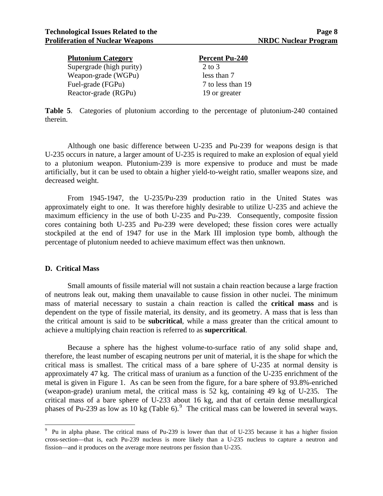| <b>Plutonium Category</b> | <b>Percent Pu-240</b> |
|---------------------------|-----------------------|
| Supergrade (high purity)  | 2 to 3                |
| Weapon-grade (WGPu)       | less than 7           |
| Fuel-grade (FGPu)         | 7 to less than 19     |
| Reactor-grade (RGPu)      | 19 or greater         |

**Table 5**. Categories of plutonium according to the percentage of plutonium-240 contained therein.

 Although one basic difference between U-235 and Pu-239 for weapons design is that U-235 occurs in nature, a larger amount of U-235 is required to make an explosion of equal yield to a plutonium weapon. Plutonium-239 is more expensive to produce and must be made artificially, but it can be used to obtain a higher yield-to-weight ratio, smaller weapons size, and decreased weight.

 From 1945-1947, the U-235/Pu-239 production ratio in the United States was approximately eight to one. It was therefore highly desirable to utilize U-235 and achieve the maximum efficiency in the use of both U-235 and Pu-239. Consequently, composite fission cores containing both U-235 and Pu-239 were developed; these fission cores were actually stockpiled at the end of 1947 for use in the Mark III implosion type bomb, although the percentage of plutonium needed to achieve maximum effect was then unknown.

#### **D. Critical Mass**

 $\overline{a}$ 

 Small amounts of fissile material will not sustain a chain reaction because a large fraction of neutrons leak out, making them unavailable to cause fission in other nuclei. The minimum mass of material necessary to sustain a chain reaction is called the **critical mass** and is dependent on the type of fissile material, its density, and its geometry. A mass that is less than the critical amount is said to be **subcritical**, while a mass greater than the critical amount to achieve a multiplying chain reaction is referred to as **supercritical**.

 Because a sphere has the highest volume-to-surface ratio of any solid shape and, therefore, the least number of escaping neutrons per unit of material, it is the shape for which the critical mass is smallest. The critical mass of a bare sphere of U-235 at normal density is approximately 47 kg. The critical mass of uranium as a function of the U-235 enrichment of the metal is given in Figure 1. As can be seen from the figure, for a bare sphere of 93.8%-enriched (weapon-grade) uranium metal, the critical mass is 52 kg, containing 49 kg of U-235. The critical mass of a bare sphere of U-233 about 16 kg, and that of certain dense metallurgical phases of Pu-23[9](#page-12-0) as low as 10 kg (Table 6).<sup>9</sup> The critical mass can be lowered in several ways.

<span id="page-12-0"></span><sup>&</sup>lt;sup>9</sup> Pu in alpha phase. The critical mass of Pu-239 is lower than that of U-235 because it has a higher fission cross-section—that is, each Pu-239 nucleus is more likely than a U-235 nucleus to capture a neutron and fission—and it produces on the average more neutrons per fission than U-235.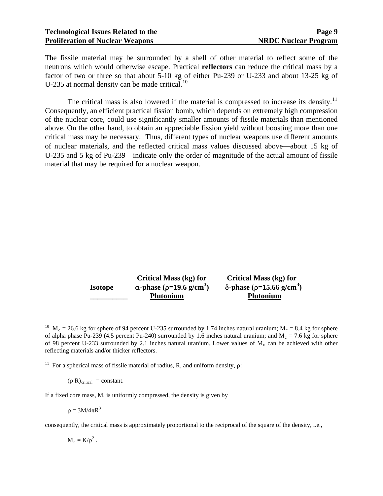The fissile material may be surrounded by a shell of other material to reflect some of the neutrons which would otherwise escape. Practical **reflectors** can reduce the critical mass by a factor of two or three so that about 5-10 kg of either Pu-239 or U-233 and about 13-25 kg of U-235 at normal density can be made critical. $^{10}$  $^{10}$  $^{10}$ 

The critical mass is also lowered if the material is compressed to increase its density.<sup>[11](#page-13-1)</sup> Consequently, an efficient practical fission bomb, which depends on extremely high compression of the nuclear core, could use significantly smaller amounts of fissile materials than mentioned above. On the other hand, to obtain an appreciable fission yield without boosting more than one critical mass may be necessary. Thus, different types of nuclear weapons use different amounts of nuclear materials, and the reflected critical mass values discussed above—about 15 kg of U-235 and 5 kg of Pu-239—indicate only the order of magnitude of the actual amount of fissile material that may be required for a nuclear weapon.

|                | <b>Critical Mass (kg) for</b>                      | <b>Critical Mass (kg) for</b>                       |
|----------------|----------------------------------------------------|-----------------------------------------------------|
| <b>Isotope</b> | $\alpha$ -phase ( $\rho$ =19.6 g/cm <sup>3</sup> ) | $\delta$ -phase ( $\rho$ =15.66 g/cm <sup>3</sup> ) |
|                | <b>Plutonium</b>                                   | <b>Plutonium</b>                                    |

<span id="page-13-0"></span><sup>10</sup> M<sub>c</sub> = 26.6 kg for sphere of 94 percent U-235 surrounded by 1.74 inches natural uranium; M<sub>c</sub> = 8.4 kg for sphere of alpha phase Pu-239 (4.5 percent Pu-240) surrounded by 1.6 inches natural uranium; and  $M_c = 7.6$  kg for sphere of 98 percent U-233 surrounded by 2.1 inches natural uranium. Lower values of  $M_c$  can be achieved with other reflecting materials and/or thicker reflectors.

<span id="page-13-1"></span><sup>11</sup> For a spherical mass of fissile material of radius, R, and uniform density,  $\rho$ :

 $(\rho R)_{critical} = constant.$ 

If a fixed core mass, M, is uniformly compressed, the density is given by

 $\rho = 3M/4\pi R^3$ 

 $\overline{a}$ 

consequently, the critical mass is approximately proportional to the reciprocal of the square of the density, i.e.,

 $M_c = K/\rho^2$ .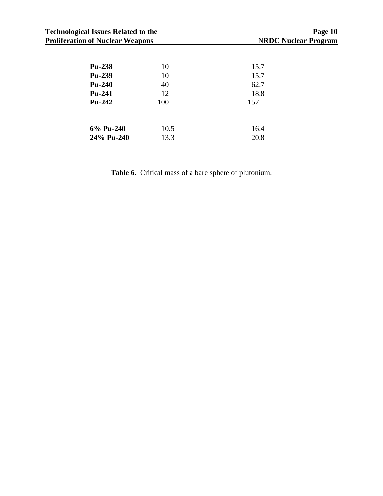| <b>Technological Issues Related to the</b><br><b>Proliferation of Nuclear Weapons</b> |      | Page 10<br><b>NRDC Nuclear Program</b> |
|---------------------------------------------------------------------------------------|------|----------------------------------------|
| <b>Pu-238</b>                                                                         | 10   | 15.7                                   |
| <b>Pu-239</b>                                                                         | 10   | 15.7                                   |
| $Pu-240$                                                                              | 40   | 62.7                                   |
| Pu-241                                                                                | 12   | 18.8                                   |
| <b>Pu-242</b>                                                                         | 100  | 157                                    |
| 6% Pu-240                                                                             | 10.5 | 16.4                                   |
| 24% Pu-240                                                                            | 13.3 | 20.8                                   |

**Table 6**. Critical mass of a bare sphere of plutonium.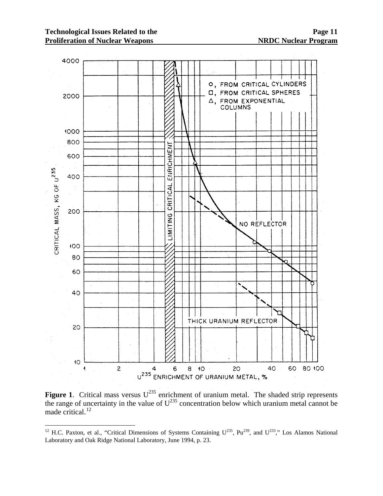$\overline{a}$ 



**Figure 1.** Critical mass versus  $U^{235}$  enrichment of uranium metal. The shaded strip represents the range of uncertainty in the value of  $U^{235}$  concentration below which uranium metal cannot be made critical. $^{12}$  $^{12}$  $^{12}$ 

<span id="page-15-0"></span><sup>&</sup>lt;sup>12</sup> H.C. Paxton, et al., "Critical Dimensions of Systems Containing  $U^{235}$ , Pu<sup>239</sup>, and  $U^{233}$ ," Los Alamos National Laboratory and Oak Ridge National Laboratory, June 1994, p. 23.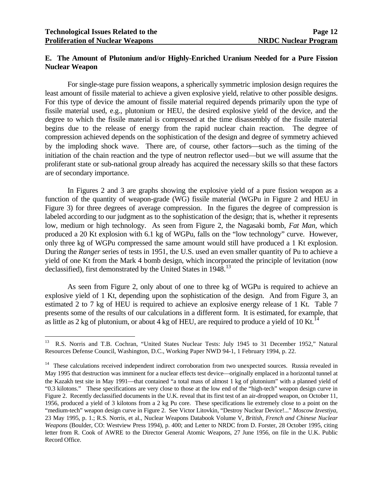$\overline{a}$ 

## **E. The Amount of Plutonium and/or Highly-Enriched Uranium Needed for a Pure Fission Nuclear Weapon**

 For single-stage pure fission weapons, a spherically symmetric implosion design requires the least amount of fissile material to achieve a given explosive yield, relative to other possible designs. For this type of device the amount of fissile material required depends primarily upon the type of fissile material used, e.g., plutonium or HEU, the desired explosive yield of the device, and the degree to which the fissile material is compressed at the time disassembly of the fissile material begins due to the release of energy from the rapid nuclear chain reaction. The degree of compression achieved depends on the sophistication of the design and degree of symmetry achieved by the imploding shock wave. There are, of course, other factors—such as the timing of the initiation of the chain reaction and the type of neutron reflector used—but we will assume that the proliferant state or sub-national group already has acquired the necessary skills so that these factors are of secondary importance.

 In Figures 2 and 3 are graphs showing the explosive yield of a pure fission weapon as a function of the quantity of weapon-grade (WG) fissile material (WGPu in Figure 2 and HEU in Figure 3) for three degrees of average compression. In the figures the degree of compression is labeled according to our judgment as to the sophistication of the design; that is, whether it represents low, medium or high technology. As seen from Figure 2, the Nagasaki bomb, *Fat Man*, which produced a 20 Kt explosion with 6.1 kg of WGPu, falls on the "low technology" curve. However, only three kg of WGPu compressed the same amount would still have produced a 1 Kt explosion. During the *Ranger* series of tests in 1951, the U.S. used an even smaller quantity of Pu to achieve a yield of one Kt from the Mark 4 bomb design, which incorporated the principle of levitation (now declassified), first demonstrated by the United States in 1948.<sup>[13](#page-16-0)</sup>

 As seen from Figure 2, only about of one to three kg of WGPu is required to achieve an explosive yield of 1 Kt, depending upon the sophistication of the design. And from Figure 3, an estimated 2 to 7 kg of HEU is required to achieve an explosive energy release of 1 Kt. Table 7 presents some of the results of our calculations in a different form. It is estimated, for example, that as little as 2 kg of plutonium, or about 4 kg of HEU, are required to produce a yield of 10 Kt.<sup>[14](#page-16-1)</sup>

<span id="page-16-0"></span><sup>13</sup> R.S. Norris and T.B. Cochran, "United States Nuclear Tests: July 1945 to 31 December 1952," Natural Resources Defense Council, Washington, D.C., Working Paper NWD 94-1, 1 February 1994, p. 22.

<span id="page-16-1"></span><sup>&</sup>lt;sup>14</sup> These calculations received independent indirect corroboration from two unexpected sources. Russia revealed in May 1995 that destruction was imminent for a nuclear effects test device—originally emplaced in a horizontal tunnel at the Kazakh test site in May 1991—that contained "a total mass of almost 1 kg of plutonium" with a planned yield of "0.3 kilotons." These specifications are very close to those at the low end of the "high-tech" weapon design curve in Figure 2. Recently declassified documents in the U.K. reveal that its first test of an air-dropped weapon, on October 11, 1956, produced a yield of 3 kilotons from a 2 kg Pu core. These specifications lie extremely close to a point on the "medium-tech" weapon design curve in Figure 2. See Victor Litovkin, "Destroy Nuclear Device!..." *Moscow Izvestiya*, 23 May 1995, p. 1.; R.S. Norris, et al., Nuclear Weapons Databook Volume V, *British, French and Chinese Nuclear Weapons* (Boulder, CO: Westview Press 1994), p. 400; and Letter to NRDC from D. Forster, 28 October 1995, citing letter from R. Cook of AWRE to the Director General Atomic Weapons, 27 June 1956, on file in the U.K. Public Record Office.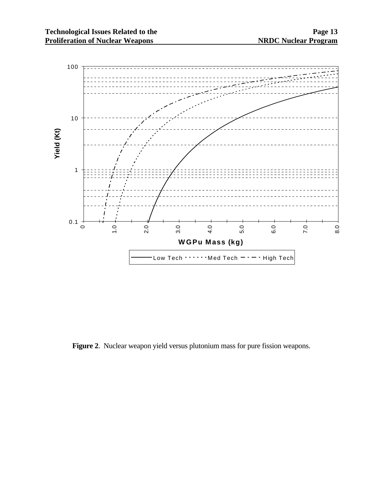

**Figure 2**. Nuclear weapon yield versus plutonium mass for pure fission weapons.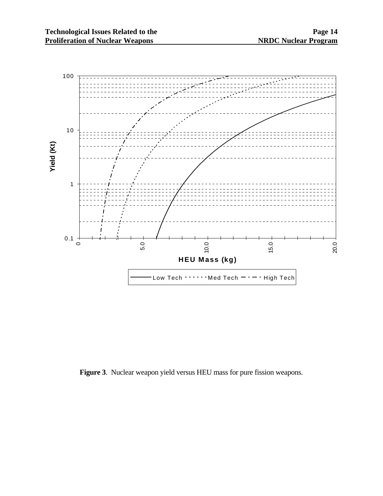

**Figure 3**. Nuclear weapon yield versus HEU mass for pure fission weapons.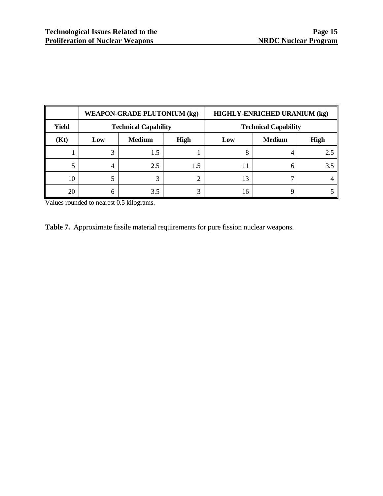|       |     | <b>WEAPON-GRADE PLUTONIUM (kg)</b> |                   |     | <b>HIGHLY-ENRICHED URANIUM (kg)</b> |             |
|-------|-----|------------------------------------|-------------------|-----|-------------------------------------|-------------|
| Yield |     | <b>Technical Capability</b>        |                   |     | <b>Technical Capability</b>         |             |
| (Kt)  | Low | <b>Medium</b>                      | <b>High</b>       | Low | <b>Medium</b>                       | <b>High</b> |
|       |     | 1.5                                |                   | 8   |                                     | 2.5         |
|       |     | 2.5                                | 1.5               |     |                                     | 3.5         |
| 10    |     | 3                                  | ⌒                 |     |                                     |             |
| 20    | h   | 3.5                                | $\mathbf{\Omega}$ | 16  |                                     |             |

Values rounded to nearest 0.5 kilograms.

| <b>Table 7.</b> Approximate fissile material requirements for pure fission nuclear weapons. |
|---------------------------------------------------------------------------------------------|
|---------------------------------------------------------------------------------------------|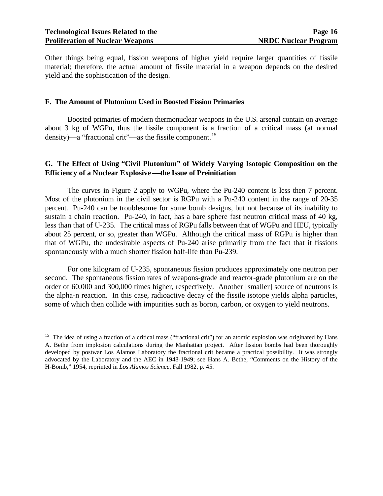$\overline{a}$ 

Other things being equal, fission weapons of higher yield require larger quantities of fissile material; therefore, the actual amount of fissile material in a weapon depends on the desired yield and the sophistication of the design.

#### **F. The Amount of Plutonium Used in Boosted Fission Primaries**

 Boosted primaries of modern thermonuclear weapons in the U.S. arsenal contain on average about 3 kg of WGPu, thus the fissile component is a fraction of a critical mass (at normal density)—a "fractional crit"—as the fissile component.<sup>[15](#page-20-0)</sup>

#### **G. The Effect of Using "Civil Plutonium" of Widely Varying Isotopic Composition on the Efficiency of a Nuclear Explosive —the Issue of Preinitiation**

 The curves in Figure 2 apply to WGPu, where the Pu-240 content is less then 7 percent. Most of the plutonium in the civil sector is RGPu with a Pu-240 content in the range of 20-35 percent. Pu-240 can be troublesome for some bomb designs, but not because of its inability to sustain a chain reaction. Pu-240, in fact, has a bare sphere fast neutron critical mass of 40 kg, less than that of U-235. The critical mass of RGPu falls between that of WGPu and HEU, typically about 25 percent, or so, greater than WGPu. Although the critical mass of RGPu is higher than that of WGPu, the undesirable aspects of Pu-240 arise primarily from the fact that it fissions spontaneously with a much shorter fission half-life than Pu-239.

 For one kilogram of U-235, spontaneous fission produces approximately one neutron per second. The spontaneous fission rates of weapons-grade and reactor-grade plutonium are on the order of 60,000 and 300,000 times higher, respectively. Another [smaller] source of neutrons is the alpha-n reaction. In this case, radioactive decay of the fissile isotope yields alpha particles, some of which then collide with impurities such as boron, carbon, or oxygen to yield neutrons.

<span id="page-20-0"></span><sup>&</sup>lt;sup>15</sup> The idea of using a fraction of a critical mass ("fractional crit") for an atomic explosion was originated by Hans A. Bethe from implosion calculations during the Manhattan project. After fission bombs had been thoroughly developed by postwar Los Alamos Laboratory the fractional crit became a practical possibility. It was strongly advocated by the Laboratory and the AEC in 1948-1949; see Hans A. Bethe, "Comments on the History of the H-Bomb," 1954, reprinted in *Los Alamos Science*, Fall 1982, p. 45.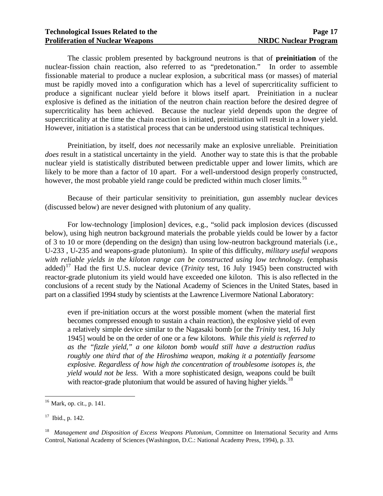The classic problem presented by background neutrons is that of **preinitiation** of the nuclear-fission chain reaction, also referred to as "predetonation." In order to assemble fissionable material to produce a nuclear explosion, a subcritical mass (or masses) of material must be rapidly moved into a configuration which has a level of supercriticality sufficient to produce a significant nuclear yield before it blows itself apart. Preinitiation in a nuclear explosive is defined as the initiation of the neutron chain reaction before the desired degree of supercriticality has been achieved. Because the nuclear yield depends upon the degree of supercriticality at the time the chain reaction is initiated, preinitiation will result in a lower yield. However, initiation is a statistical process that can be understood using statistical techniques.

 Preinitiation, by itself, does *not* necessarily make an explosive unreliable. Preinitiation *does* result in a statistical uncertainty in the yield. Another way to state this is that the probable nuclear yield is statistically distributed between predictable upper and lower limits, which are likely to be more than a factor of 10 apart. For a well-understood design properly constructed, however, the most probable yield range could be predicted within much closer limits.<sup>[16](#page-21-0)</sup>

 Because of their particular sensitivity to preinitiation, gun assembly nuclear devices (discussed below) are never designed with plutonium of any quality.

 For low-technology [implosion] devices, e.g., "solid pack implosion devices (discussed below), using high neutron background materials the probable yields could be lower by a factor of 3 to 10 or more (depending on the design) than using low-neutron background materials (i.e., U-233 , U-235 and weapons-grade plutonium). In spite of this difficulty, *military useful weapons with reliable yields in the kiloton range can be constructed using low technology*. (emphasis added)<sup>[17](#page-21-1)</sup> Had the first U.S. nuclear device (*Trinity* test, 16 July 1945) been constructed with reactor-grade plutonium its yield would have exceeded one kiloton. This is also reflected in the conclusions of a recent study by the National Academy of Sciences in the United States, based in part on a classified 1994 study by scientists at the Lawrence Livermore National Laboratory:

 even if pre-initiation occurs at the worst possible moment (when the material first becomes compressed enough to sustain a chain reaction), the explosive yield of even a relatively simple device similar to the Nagasaki bomb [or the *Trinity* test, 16 July 1945] would be on the order of one or a few kilotons. *While this yield is referred to as the "fizzle yield," a one kiloton bomb would still have a destruction radius roughly one third that of the Hiroshima weapon, making it a potentially fearsome explosive. Regardless of how high the concentration of troublesome isotopes is, the yield would not be less*. With a more sophisticated design, weapons could be built with reactor-grade plutonium that would be assured of having higher yields.<sup>[18](#page-21-2)</sup>

 $\overline{a}$ 

<span id="page-21-0"></span><sup>16</sup> Mark, op. cit., p. 141.

<span id="page-21-1"></span> $17$  Ibid., p. 142.

<span id="page-21-2"></span><sup>&</sup>lt;sup>18</sup> *Management and Disposition of Excess Weapons Plutonium*, Committee on International Security and Arms Control, National Academy of Sciences (Washington, D.C.: National Academy Press, 1994), p. 33.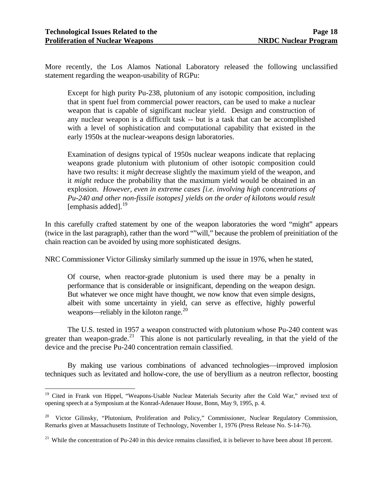$\overline{a}$ 

More recently, the Los Alamos National Laboratory released the following unclassified statement regarding the weapon-usability of RGPu:

 Except for high purity Pu-238, plutonium of any isotopic composition, including that in spent fuel from commercial power reactors, can be used to make a nuclear weapon that is capable of significant nuclear yield. Design and construction of any nuclear weapon is a difficult task -- but is a task that can be accomplished with a level of sophistication and computational capability that existed in the early 1950s at the nuclear-weapons design laboratories.

 Examination of designs typical of 1950s nuclear weapons indicate that replacing weapons grade plutonium with plutonium of other isotopic composition could have two results: it *might* decrease slightly the maximum yield of the weapon, and it *might* reduce the probability that the maximum yield would be obtained in an explosion. *However, even in extreme cases [i.e. involving high concentrations of Pu-240 and other non-fissile isotopes] yields on the order of kilotons would result*  [emphasis added]. $^{19}$  $^{19}$  $^{19}$ 

In this carefully crafted statement by one of the weapon laboratories the word "might" appears (twice in the last paragraph), rather than the word ""will," because the problem of preinitiation of the chain reaction can be avoided by using more sophisticated designs.

NRC Commissioner Victor Gilinsky similarly summed up the issue in 1976, when he stated,

Of course, when reactor-grade plutonium is used there may be a penalty in performance that is considerable or insignificant, depending on the weapon design. But whatever we once might have thought, we now know that even simple designs, albeit with some uncertainty in yield, can serve as effective, highly powerful weapons—reliably in the kiloton range.<sup>[20](#page-22-1)</sup>

 The U.S. tested in 1957 a weapon constructed with plutonium whose Pu-240 content was greater than weapon-grade.<sup>[21](#page-22-2)</sup> This alone is not particularly revealing, in that the yield of the device and the precise Pu-240 concentration remain classified.

By making use various combinations of advanced technologies—improved implosion techniques such as levitated and hollow-core, the use of beryllium as a neutron reflector, boosting

<span id="page-22-0"></span><sup>&</sup>lt;sup>19</sup> Cited in Frank von Hippel, "Weapons-Usable Nuclear Materials Security after the Cold War," revised text of opening speech at a Symposium at the Konrad-Adenauer House, Bonn, May 9, 1995, p. 4.

<span id="page-22-1"></span><sup>&</sup>lt;sup>20</sup> Victor Gilinsky, "Plutonium, Proliferation and Policy," Commissioner, Nuclear Regulatory Commission, Remarks given at Massachusetts Institute of Technology, November 1, 1976 (Press Release No. S-14-76).

<span id="page-22-2"></span><sup>&</sup>lt;sup>21</sup> While the concentration of Pu-240 in this device remains classified, it is believer to have been about 18 percent.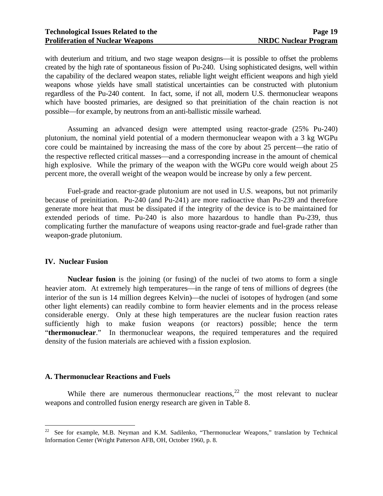with deuterium and tritium, and two stage weapon designs—it is possible to offset the problems created by the high rate of spontaneous fission of Pu-240. Using sophisticated designs, well within the capability of the declared weapon states, reliable light weight efficient weapons and high yield weapons whose yields have small statistical uncertainties can be constructed with plutonium regardless of the Pu-240 content. In fact, some, if not all, modern U.S. thermonuclear weapons which have boosted primaries, are designed so that preinitiation of the chain reaction is not possible—for example, by neutrons from an anti-ballistic missile warhead.

 Assuming an advanced design were attempted using reactor-grade (25% Pu-240) plutonium, the nominal yield potential of a modern thermonuclear weapon with a 3 kg WGPu core could be maintained by increasing the mass of the core by about 25 percent—the ratio of the respective reflected critical masses—and a corresponding increase in the amount of chemical high explosive. While the primary of the weapon with the WGPu core would weigh about 25 percent more, the overall weight of the weapon would be increase by only a few percent.

 Fuel-grade and reactor-grade plutonium are not used in U.S. weapons, but not primarily because of preinitiation. Pu-240 (and Pu-241) are more radioactive than Pu-239 and therefore generate more heat that must be dissipated if the integrity of the device is to be maintained for extended periods of time. Pu-240 is also more hazardous to handle than Pu-239, thus complicating further the manufacture of weapons using reactor-grade and fuel-grade rather than weapon-grade plutonium.

#### **IV. Nuclear Fusion**

 $\overline{a}$ 

**Nuclear fusion** is the joining (or fusing) of the nuclei of two atoms to form a single heavier atom. At extremely high temperatures—in the range of tens of millions of degrees (the interior of the sun is 14 million degrees Kelvin)—the nuclei of isotopes of hydrogen (and some other light elements) can readily combine to form heavier elements and in the process release considerable energy. Only at these high temperatures are the nuclear fusion reaction rates sufficiently high to make fusion weapons (or reactors) possible; hence the term "**thermonuclear**." In thermonuclear weapons, the required temperatures and the required density of the fusion materials are achieved with a fission explosion.

#### **A. Thermonuclear Reactions and Fuels**

While there are numerous thermonuclear reactions,  $22$  the most relevant to nuclear weapons and controlled fusion energy research are given in Table 8.

<span id="page-23-0"></span> $22$  See for example, M.B. Neyman and K.M. Sadilenko, "Thermonuclear Weapons," translation by Technical Information Center (Wright Patterson AFB, OH, October 1960, p. 8.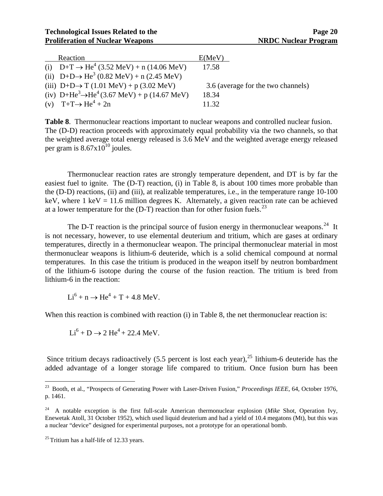| Reaction                                                                        | E(MeV)                             |
|---------------------------------------------------------------------------------|------------------------------------|
| (i) $D+T \rightarrow He^4$ (3.52 MeV) + n (14.06 MeV)                           | 17.58                              |
| (ii) D+D $\rightarrow$ He <sup>3</sup> (0.82 MeV) + n (2.45 MeV)                |                                    |
| (iii) D+D $\rightarrow$ T (1.01 MeV) + p (3.02 MeV)                             | 3.6 (average for the two channels) |
| (iv) D+He <sup>3</sup> $\rightarrow$ He <sup>4</sup> (3.67 MeV) + p (14.67 MeV) | 18.34                              |
| (v) T+T $\rightarrow$ He <sup>4</sup> + 2n                                      | 11.32                              |

**Table 8**. Thermonuclear reactions important to nuclear weapons and controlled nuclear fusion. The (D-D) reaction proceeds with approximately equal probability via the two channels, so that the weighted average total energy released is 3.6 MeV and the weighted average energy released per gram is  $8.67 \times 10^{10}$  joules.

 Thermonuclear reaction rates are strongly temperature dependent, and DT is by far the easiest fuel to ignite. The (D-T) reaction, (i) in Table 8, is about 100 times more probable than the (D-D) reactions, (ii) and (iii), at realizable temperatures, i.e., in the temperature range 10-100 keV, where 1 keV = 11.6 million degrees K. Alternately, a given reaction rate can be achieved at a lower temperature for the  $(D-T)$  reaction than for other fusion fuels.<sup>[23](#page-24-0)</sup>

The D-T reaction is the principal source of fusion energy in thermonuclear weapons.<sup>[24](#page-24-1)</sup> It is not necessary, however, to use elemental deuterium and tritium, which are gases at ordinary temperatures, directly in a thermonuclear weapon. The principal thermonuclear material in most thermonuclear weapons is lithium-6 deuteride, which is a solid chemical compound at normal temperatures. In this case the tritium is produced in the weapon itself by neutron bombardment of the lithium-6 isotope during the course of the fusion reaction. The tritium is bred from lithium-6 in the reaction:

 $Li^6 + n \rightarrow He^4 + T + 4.8$  MeV.

When this reaction is combined with reaction (i) in Table 8, the net thermonuclear reaction is:

 $Li<sup>6</sup> + D \rightarrow 2 He<sup>4</sup> + 22.4 MeV.$ 

Since tritium decays radioactively  $(5.5$  percent is lost each year),  $^{25}$  $^{25}$  $^{25}$  lithium-6 deuteride has the added advantage of a longer storage life compared to tritium. Once fusion burn has been

 $\overline{a}$ 

<span id="page-24-0"></span><sup>&</sup>lt;sup>23</sup> Booth, et al., "Prospects of Generating Power with Laser-Driven Fusion," *Proceedings IEEE*, 64, October 1976, p. 1461.

<span id="page-24-1"></span><sup>24</sup> A notable exception is the first full-scale American thermonuclear explosion (*Mike* Shot, Operation Ivy, Enewetak Atoll, 31 October 1952), which used liquid deuterium and had a yield of 10.4 megatons (Mt), but this was a nuclear "device" designed for experimental purposes, not a prototype for an operational bomb.

<span id="page-24-2"></span> $25$  Tritium has a half-life of 12.33 years.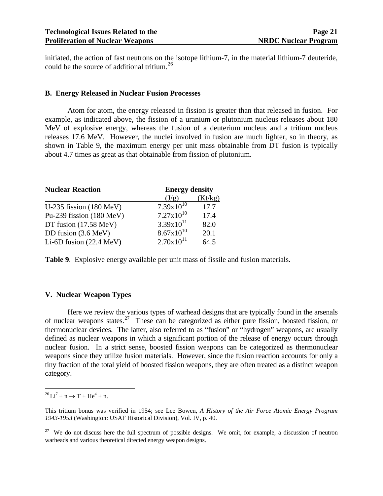initiated, the action of fast neutrons on the isotope lithium-7, in the material lithium-7 deuteride, could be the source of additional tritium.<sup>[26](#page-25-0)</sup>

#### **B. Energy Released in Nuclear Fusion Processes**

Atom for atom, the energy released in fission is greater than that released in fusion. For example, as indicated above, the fission of a uranium or plutonium nucleus releases about 180 MeV of explosive energy, whereas the fusion of a deuterium nucleus and a tritium nucleus releases 17.6 MeV. However, the nuclei involved in fusion are much lighter, so in theory, as shown in Table 9, the maximum energy per unit mass obtainable from DT fusion is typically about 4.7 times as great as that obtainable from fission of plutonium.

| <b>Nuclear Reaction</b>            | <b>Energy density</b> |         |  |
|------------------------------------|-----------------------|---------|--|
|                                    | (J/g)                 | (Kt/kg) |  |
| U-235 fission $(180 \text{ MeV})$  | $7.39x10^{10}$        | 17.7    |  |
| Pu-239 fission $(180 \text{ MeV})$ | $7.27 \times 10^{10}$ | 17.4    |  |
| DT fusion (17.58 MeV)              | $3.39x10^{11}$        | 82.0    |  |
| DD fusion (3.6 MeV)                | $8.67x10^{10}$        | 20.1    |  |
| Li-6D fusion $(22.4 \text{ MeV})$  | $2.70x10^{11}$        | 64.5    |  |

**Table 9**. Explosive energy available per unit mass of fissile and fusion materials.

#### **V. Nuclear Weapon Types**

 Here we review the various types of warhead designs that are typically found in the arsenals of nuclear weapons states.[27](#page-25-1) These can be categorized as either pure fission, boosted fission, or thermonuclear devices. The latter, also referred to as "fusion" or "hydrogen" weapons, are usually defined as nuclear weapons in which a significant portion of the release of energy occurs through nuclear fusion. In a strict sense, boosted fission weapons can be categorized as thermonuclear weapons since they utilize fusion materials. However, since the fusion reaction accounts for only a tiny fraction of the total yield of boosted fission weapons, they are often treated as a distinct weapon category.

 $\overline{a}$ 

<span id="page-25-0"></span> $^{26}Li^7 + n \rightarrow T + He^4 + n.$ 

This tritium bonus was verified in 1954; see Lee Bowen, *A History of the Air Force Atomic Energy Program 1943-1953* (Washington: USAF Historical Division), Vol. IV, p. 40.

<span id="page-25-1"></span> $27$  We do not discuss here the full spectrum of possible designs. We omit, for example, a discussion of neutron warheads and various theoretical directed energy weapon designs.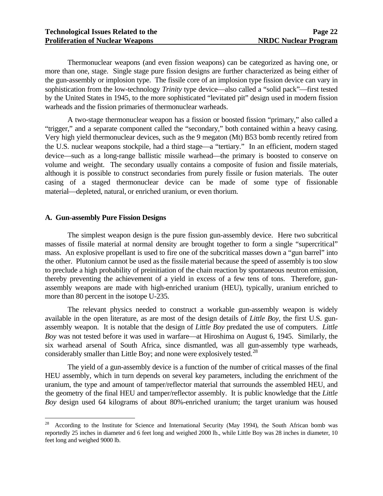Thermonuclear weapons (and even fission weapons) can be categorized as having one, or more than one, stage. Single stage pure fission designs are further characterized as being either of the gun-assembly or implosion type. The fissile core of an implosion type fission device can vary in sophistication from the low-technology *Trinity* type device—also called a "solid pack"—first tested by the United States in 1945, to the more sophisticated "levitated pit" design used in modern fission warheads and the fission primaries of thermonuclear warheads.

 A two-stage thermonuclear weapon has a fission or boosted fission "primary," also called a "trigger," and a separate component called the "secondary," both contained within a heavy casing. Very high yield thermonuclear devices, such as the 9 megaton (Mt) B53 bomb recently retired from the U.S. nuclear weapons stockpile, had a third stage—a "tertiary." In an efficient, modern staged device—such as a long-range ballistic missile warhead—the primary is boosted to conserve on volume and weight. The secondary usually contains a composite of fusion and fissile materials, although it is possible to construct secondaries from purely fissile or fusion materials. The outer casing of a staged thermonuclear device can be made of some type of fissionable material—depleted, natural, or enriched uranium, or even thorium.

#### **A. Gun-assembly Pure Fission Designs**

 $\overline{a}$ 

 The simplest weapon design is the pure fission gun-assembly device. Here two subcritical masses of fissile material at normal density are brought together to form a single "supercritical" mass. An explosive propellant is used to fire one of the subcritical masses down a "gun barrel" into the other. Plutonium cannot be used as the fissile material because the speed of assembly is too slow to preclude a high probability of preinitiation of the chain reaction by spontaneous neutron emission, thereby preventing the achievement of a yield in excess of a few tens of tons. Therefore, gunassembly weapons are made with high-enriched uranium (HEU), typically, uranium enriched to more than 80 percent in the isotope U-235.

 The relevant physics needed to construct a workable gun-assembly weapon is widely available in the open literature, as are most of the design details of *Little Boy*, the first U.S. gunassembly weapon. It is notable that the design of *Little Boy* predated the use of computers. *Little Boy* was not tested before it was used in warfare—at Hiroshima on August 6, 1945. Similarly, the six warhead arsenal of South Africa, since dismantled, was all gun-assembly type warheads, considerably smaller than Little Boy; and none were explosively tested.<sup>[28](#page-26-0)</sup>

 The yield of a gun-assembly device is a function of the number of critical masses of the final HEU assembly, which in turn depends on several key parameters, including the enrichment of the uranium, the type and amount of tamper/reflector material that surrounds the assembled HEU, and the geometry of the final HEU and tamper/reflector assembly. It is public knowledge that the *Little Boy* design used 64 kilograms of about 80%-enriched uranium; the target uranium was housed

<span id="page-26-0"></span><sup>&</sup>lt;sup>28</sup> According to the Institute for Science and International Security (May 1994), the South African bomb was reportedly 25 inches in diameter and 6 feet long and weighed 2000 lb., while Little Boy was 28 inches in diameter, 10 feet long and weighed 9000 lb.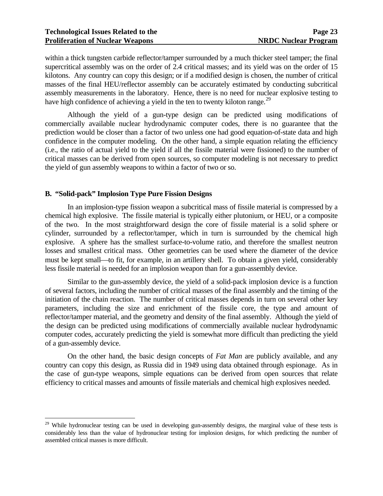within a thick tungsten carbide reflector/tamper surrounded by a much thicker steel tamper; the final supercritical assembly was on the order of 2.4 critical masses; and its yield was on the order of 15 kilotons. Any country can copy this design; or if a modified design is chosen, the number of critical masses of the final HEU/reflector assembly can be accurately estimated by conducting subcritical assembly measurements in the laboratory. Hence, there is no need for nuclear explosive testing to have high confidence of achieving a yield in the ten to twenty kiloton range.<sup>[29](#page-27-0)</sup>

 Although the yield of a gun-type design can be predicted using modifications of commercially available nuclear hydrodynamic computer codes, there is no guarantee that the prediction would be closer than a factor of two unless one had good equation-of-state data and high confidence in the computer modeling. On the other hand, a simple equation relating the efficiency (i.e., the ratio of actual yield to the yield if all the fissile material were fissioned) to the number of critical masses can be derived from open sources, so computer modeling is not necessary to predict the yield of gun assembly weapons to within a factor of two or so.

#### **B. "Solid-pack" Implosion Type Pure Fission Designs**

 $\overline{a}$ 

 In an implosion-type fission weapon a subcritical mass of fissile material is compressed by a chemical high explosive. The fissile material is typically either plutonium, or HEU, or a composite of the two. In the most straightforward design the core of fissile material is a solid sphere or cylinder, surrounded by a reflector/tamper, which in turn is surrounded by the chemical high explosive. A sphere has the smallest surface-to-volume ratio, and therefore the smallest neutron losses and smallest critical mass. Other geometries can be used where the diameter of the device must be kept small—to fit, for example, in an artillery shell. To obtain a given yield, considerably less fissile material is needed for an implosion weapon than for a gun-assembly device.

 Similar to the gun-assembly device, the yield of a solid-pack implosion device is a function of several factors, including the number of critical masses of the final assembly and the timing of the initiation of the chain reaction. The number of critical masses depends in turn on several other key parameters, including the size and enrichment of the fissile core, the type and amount of reflector/tamper material, and the geometry and density of the final assembly. Although the yield of the design can be predicted using modifications of commercially available nuclear hydrodynamic computer codes, accurately predicting the yield is somewhat more difficult than predicting the yield of a gun-assembly device.

On the other hand, the basic design concepts of *Fat Man* are publicly available, and any country can copy this design, as Russia did in 1949 using data obtained through espionage. As in the case of gun-type weapons, simple equations can be derived from open sources that relate efficiency to critical masses and amounts of fissile materials and chemical high explosives needed.

<span id="page-27-0"></span><sup>&</sup>lt;sup>29</sup> While hydronuclear testing can be used in developing gun-assembly designs, the marginal value of these tests is considerably less than the value of hydronuclear testing for implosion designs, for which predicting the number of assembled critical masses is more difficult.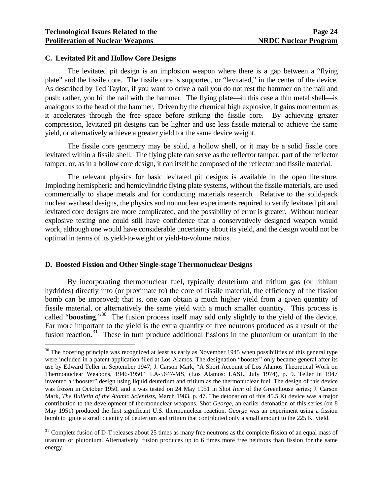$\overline{a}$ 

#### **C. Levitated Pit and Hollow Core Designs**

 The levitated pit design is an implosion weapon where there is a gap between a "flying plate" and the fissile core. The fissile core is supported, or "levitated," in the center of the device. As described by Ted Taylor, if you want to drive a nail you do not rest the hammer on the nail and push; rather, you hit the nail with the hammer. The flying plate—in this case a thin metal shell—is analogous to the head of the hammer. Driven by the chemical high explosive, it gains momentum as it accelerates through the free space before striking the fissile core. By achieving greater compression, levitated pit designs can be lighter and use less fissile material to achieve the same yield, or alternatively achieve a greater yield for the same device weight.

 The fissile core geometry may be solid, a hollow shell, or it may be a solid fissile core levitated within a fissile shell. The flying plate can serve as the reflector tamper, part of the reflector tamper, or, as in a hollow core design, it can itself be composed of the reflector and fissile material.

 The relevant physics for basic levitated pit designs is available in the open literature. Imploding hemispheric and hemicylindric flying plate systems, without the fissile materials, are used commercially to shape metals and for conducting materials research. Relative to the solid-pack nuclear warhead designs, the physics and nonnuclear experiments required to verify levitated pit and levitated core designs are more complicated, and the possibility of error is greater. Without nuclear explosive testing one could still have confidence that a conservatively designed weapon would work, although one would have considerable uncertainty about its yield, and the design would not be optimal in terms of its yield-to-weight or yield-to-volume ratios.

#### **D. Boosted Fission and Other Single-stage Thermonuclear Designs**

 By incorporating thermonuclear fuel, typically deuterium and tritium gas (or lithium hydrides) directly into (or proximate to) the core of fissile material, the efficiency of the fission bomb can be improved; that is, one can obtain a much higher yield from a given quantity of fissile material, or alternatively the same yield with a much smaller quantity. This process is called "**boosting**."[30](#page-28-0) The fusion process itself may add only slightly to the yield of the device. Far more important to the yield is the extra quantity of free neutrons produced as a result of the fusion reaction.<sup>[31](#page-28-1)</sup> These in turn produce additional fissions in the plutonium or uranium in the

<span id="page-28-0"></span> $30$  The boosting principle was recognized at least as early as November 1945 when possibilities of this general type were included in a patent application filed at Los Alamos. The designation "booster" only became general after its use by Edward Teller in September 1947; J. Carson Mark, "A Short Account of Los Alamos Theoretical Work on Thermonuclear Weapons, 1946-1950," LA-5647-MS, (Los Alamos: LASL, July 1974), p. 9. Teller in 1947 invented a "booster" design using liquid deuterium and tritium as the thermonuclear fuel. The design of this device was frozen in October 1950, and it was tested on 24 May 1951 in Shot *Item* of the Greenhouse series; J. Carson Mark, *The Bulletin of the Atomic Scientists*, March 1983, p. 47. The detonation of this 45.5 Kt device was a major contribution to the development of thermonuclear weapons. Shot *George*, an earlier detonation of this series (on 8 May 1951) produced the first significant U.S. thermonuclear reaction. *George* was an experiment using a fission bomb to ignite a small quantity of deuterium and tritium that contributed only a small amount to the 225 Kt yield.

<span id="page-28-1"></span> $31$  Complete fusion of D-T releases about 25 times as many free neutrons as the complete fission of an equal mass of uranium or plutonium. Alternatively, fusion produces up to 6 times more free neutrons than fission for the same energy.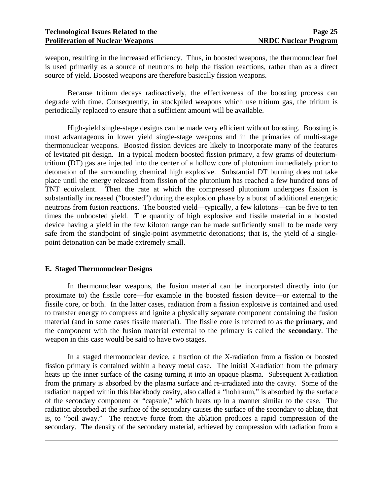weapon, resulting in the increased efficiency. Thus, in boosted weapons, the thermonuclear fuel is used primarily as a source of neutrons to help the fission reactions, rather than as a direct source of yield. Boosted weapons are therefore basically fission weapons.

 Because tritium decays radioactively, the effectiveness of the boosting process can degrade with time. Consequently, in stockpiled weapons which use tritium gas, the tritium is periodically replaced to ensure that a sufficient amount will be available.

 High-yield single-stage designs can be made very efficient without boosting. Boosting is most advantageous in lower yield single-stage weapons and in the primaries of multi-stage thermonuclear weapons. Boosted fission devices are likely to incorporate many of the features of levitated pit design. In a typical modern boosted fission primary, a few grams of deuteriumtritium (DT) gas are injected into the center of a hollow core of plutonium immediately prior to detonation of the surrounding chemical high explosive. Substantial DT burning does not take place until the energy released from fission of the plutonium has reached a few hundred tons of TNT equivalent. Then the rate at which the compressed plutonium undergoes fission is substantially increased ("boosted") during the explosion phase by a burst of additional energetic neutrons from fusion reactions. The boosted yield—typically, a few kilotons—can be five to ten times the unboosted yield. The quantity of high explosive and fissile material in a boosted device having a yield in the few kiloton range can be made sufficiently small to be made very safe from the standpoint of single-point asymmetric detonations; that is, the yield of a singlepoint detonation can be made extremely small.

#### **E. Staged Thermonuclear Designs**

 $\overline{a}$ 

In thermonuclear weapons, the fusion material can be incorporated directly into (or proximate to) the fissile core—for example in the boosted fission device—or external to the fissile core, or both. In the latter cases, radiation from a fission explosive is contained and used to transfer energy to compress and ignite a physically separate component containing the fusion material (and in some cases fissile material). The fissile core is referred to as the **primary**, and the component with the fusion material external to the primary is called the **secondary**. The weapon in this case would be said to have two stages.

 In a staged thermonuclear device, a fraction of the X-radiation from a fission or boosted fission primary is contained within a heavy metal case. The initial X-radiation from the primary heats up the inner surface of the casing turning it into an opaque plasma. Subsequent X-radiation from the primary is absorbed by the plasma surface and re-irradiated into the cavity. Some of the radiation trapped within this blackbody cavity, also called a "hohlraum," is absorbed by the surface of the secondary component or "capsule," which heats up in a manner similar to the case. The radiation absorbed at the surface of the secondary causes the surface of the secondary to ablate, that is, to "boil away." The reactive force from the ablation produces a rapid compression of the secondary. The density of the secondary material, achieved by compression with radiation from a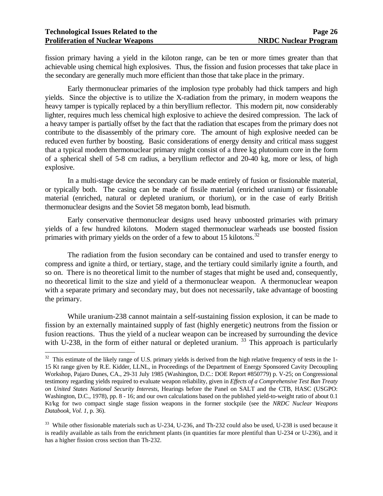$\overline{a}$ 

fission primary having a yield in the kiloton range, can be ten or more times greater than that achievable using chemical high explosives. Thus, the fission and fusion processes that take place in the secondary are generally much more efficient than those that take place in the primary.

 Early thermonuclear primaries of the implosion type probably had thick tampers and high yields. Since the objective is to utilize the X-radiation from the primary, in modern weapons the heavy tamper is typically replaced by a thin beryllium reflector. This modern pit, now considerably lighter, requires much less chemical high explosive to achieve the desired compression. The lack of a heavy tamper is partially offset by the fact that the radiation that escapes from the primary does not contribute to the disassembly of the primary core. The amount of high explosive needed can be reduced even further by boosting. Basic considerations of energy density and critical mass suggest that a typical modern thermonuclear primary might consist of a three kg plutonium core in the form of a spherical shell of 5-8 cm radius, a beryllium reflector and 20-40 kg, more or less, of high explosive.

 In a multi-stage device the secondary can be made entirely of fusion or fissionable material, or typically both. The casing can be made of fissile material (enriched uranium) or fissionable material (enriched, natural or depleted uranium, or thorium), or in the case of early British thermonuclear designs and the Soviet 58 megaton bomb, lead bismuth.

 Early conservative thermonuclear designs used heavy unboosted primaries with primary yields of a few hundred kilotons. Modern staged thermonuclear warheads use boosted fission primaries with primary yields on the order of a few to about 15 kilotons.<sup>[32](#page-30-0)</sup>

 The radiation from the fusion secondary can be contained and used to transfer energy to compress and ignite a third, or tertiary, stage, and the tertiary could similarly ignite a fourth, and so on. There is no theoretical limit to the number of stages that might be used and, consequently, no theoretical limit to the size and yield of a thermonuclear weapon. A thermonuclear weapon with a separate primary and secondary may, but does not necessarily, take advantage of boosting the primary.

 While uranium-238 cannot maintain a self-sustaining fission explosion, it can be made to fission by an externally maintained supply of fast (highly energetic) neutrons from the fission or fusion reactions. Thus the yield of a nuclear weapon can be increased by surrounding the device with U-238, in the form of either natural or depleted uranium.  $33$  This approach is particularly

<span id="page-30-0"></span> $32$  This estimate of the likely range of U.S. primary yields is derived from the high relative frequency of tests in the 1-15 Kt range given by R.E. Kidder, LLNL, in Proceedings of the Department of Energy Sponsored Cavity Decoupling Workshop, Pajaro Dunes, CA., 29-31 July 1985 (Washington, D.C.: DOE Report #850779) p. V-25; on Congressional testimony regarding yields required to evaluate weapon reliability, given in *Effects of a Comprehensive Test Ban Treaty on United States National Security Interests*, Hearings before the Panel on SALT and the CTB, HASC (USGPO: Washington, D.C., 1978), pp. 8 - 16; and our own calculations based on the published yield-to-weight ratio of about 0.1 Kt/kg for two compact single stage fission weapons in the former stockpile (see the *NRDC Nuclear Weapons Databook, Vol. 1*, p. 36).

<span id="page-30-1"></span><sup>&</sup>lt;sup>33</sup> While other fissionable materials such as U-234, U-236, and Th-232 could also be used, U-238 is used because it is readily available as tails from the enrichment plants (in quantities far more plentiful than U-234 or U-236), and it has a higher fission cross section than Th-232.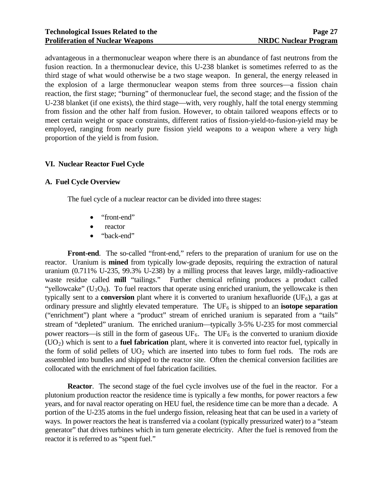advantageous in a thermonuclear weapon where there is an abundance of fast neutrons from the fusion reaction. In a thermonuclear device, this U-238 blanket is sometimes referred to as the third stage of what would otherwise be a two stage weapon. In general, the energy released in the explosion of a large thermonuclear weapon stems from three sources—a fission chain reaction, the first stage; "burning" of thermonuclear fuel, the second stage; and the fission of the U-238 blanket (if one exists), the third stage—with, very roughly, half the total energy stemming from fission and the other half from fusion. However, to obtain tailored weapons effects or to meet certain weight or space constraints, different ratios of fission-yield-to-fusion-yield may be employed, ranging from nearly pure fission yield weapons to a weapon where a very high proportion of the yield is from fusion.

#### **VI. Nuclear Reactor Fuel Cycle**

#### **A. Fuel Cycle Overview**

The fuel cycle of a nuclear reactor can be divided into three stages:

- "front-end"
- reactor
- "back-end"

**Front-end**. The so-called "front-end," refers to the preparation of uranium for use on the reactor. Uranium is **mined** from typically low-grade deposits, requiring the extraction of natural uranium (0.711% U-235, 99.3% U-238) by a milling process that leaves large, mildly-radioactive waste residue called **mill** "tailings." Further chemical refining produces a product called "yellowcake"  $(U_3O_8)$ . To fuel reactors that operate using enriched uranium, the yellowcake is then typically sent to a **conversion** plant where it is converted to uranium hexafluoride ( $UF<sub>6</sub>$ ), a gas at ordinary pressure and slightly elevated temperature. The  $UF_6$  is shipped to an **isotope separation** ("enrichment") plant where a "product" stream of enriched uranium is separated from a "tails" stream of "depleted" uranium. The enriched uranium—typically 3-5% U-235 for most commercial power reactors—is still in the form of gaseous  $UF_6$ . The  $UF_6$  is the converted to uranium dioxide (UO2) which is sent to a **fuel fabrication** plant, where it is converted into reactor fuel, typically in the form of solid pellets of  $UO<sub>2</sub>$  which are inserted into tubes to form fuel rods. The rods are assembled into bundles and shipped to the reactor site. Often the chemical conversion facilities are collocated with the enrichment of fuel fabrication facilities.

**Reactor.** The second stage of the fuel cycle involves use of the fuel in the reactor. For a plutonium production reactor the residence time is typically a few months, for power reactors a few years, and for naval reactor operating on HEU fuel, the residence time can be more than a decade. A portion of the U-235 atoms in the fuel undergo fission, releasing heat that can be used in a variety of ways. In power reactors the heat is transferred via a coolant (typically pressurized water) to a "steam generator" that drives turbines which in turn generate electricity. After the fuel is removed from the reactor it is referred to as "spent fuel."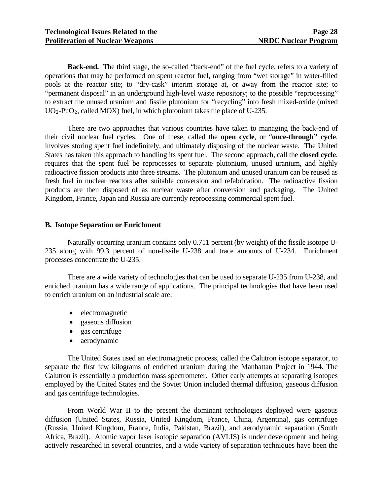**Back-end.** The third stage, the so-called "back-end" of the fuel cycle, refers to a variety of operations that may be performed on spent reactor fuel, ranging from "wet storage" in water-filled pools at the reactor site; to "dry-cask" interim storage at, or away from the reactor site; to "permanent disposal" in an underground high-level waste repository; to the possible "reprocessing" to extract the unused uranium and fissile plutonium for "recycling" into fresh mixed-oxide (mixed  $UO_2$ -PuO<sub>2</sub>, called MOX) fuel, in which plutonium takes the place of U-235.

 There are two approaches that various countries have taken to managing the back-end of their civil nuclear fuel cycles. One of these, called the **open cycle**, or "**once-through" cycle**, involves storing spent fuel indefinitely, and ultimately disposing of the nuclear waste. The United States has taken this approach to handling its spent fuel. The second approach, call the **closed cycle**, requires that the spent fuel be reprocesses to separate plutonium, unused uranium, and highly radioactive fission products into three streams. The plutonium and unused uranium can be reused as fresh fuel in nuclear reactors after suitable conversion and refabrication. The radioactive fission products are then disposed of as nuclear waste after conversion and packaging. The United Kingdom, France, Japan and Russia are currently reprocessing commercial spent fuel.

#### **B. Isotope Separation or Enrichment**

 Naturally occurring uranium contains only 0.711 percent (by weight) of the fissile isotope U-235 along with 99.3 percent of non-fissile U-238 and trace amounts of U-234. Enrichment processes concentrate the U-235.

 There are a wide variety of technologies that can be used to separate U-235 from U-238, and enriched uranium has a wide range of applications. The principal technologies that have been used to enrich uranium on an industrial scale are:

- electromagnetic
- gaseous diffusion
- gas centrifuge
- aerodynamic

 The United States used an electromagnetic process, called the Calutron isotope separator, to separate the first few kilograms of enriched uranium during the Manhattan Project in 1944. The Calutron is essentially a production mass spectrometer. Other early attempts at separating isotopes employed by the United States and the Soviet Union included thermal diffusion, gaseous diffusion and gas centrifuge technologies.

 From World War II to the present the dominant technologies deployed were gaseous diffusion (United States, Russia, United Kingdom, France, China, Argentina), gas centrifuge (Russia, United Kingdom, France, India, Pakistan, Brazil), and aerodynamic separation (South Africa, Brazil). Atomic vapor laser isotopic separation (AVLIS) is under development and being actively researched in several countries, and a wide variety of separation techniques have been the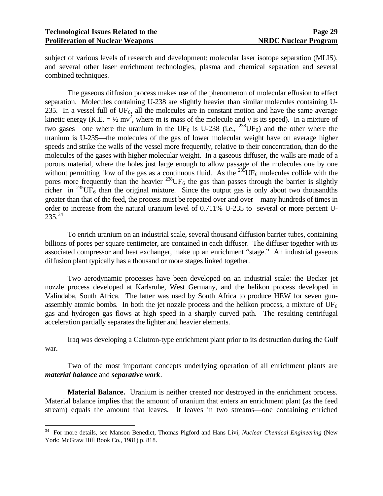$\overline{a}$ 

subject of various levels of research and development: molecular laser isotope separation (MLIS), and several other laser enrichment technologies, plasma and chemical separation and several combined techniques.

 The gaseous diffusion process makes use of the phenomenon of molecular effusion to effect separation. Molecules containing U-238 are slightly heavier than similar molecules containing U-235. In a vessel full of  $UF_6$ , all the molecules are in constant motion and have the same average kinetic energy (K.E. =  $\frac{1}{2}$  mv<sup>2</sup>, where m is mass of the molecule and v is its speed). In a mixture of two gases—one where the uranium in the UF<sub>6</sub> is U-238 (i.e., <sup>238</sup>UF<sub>6</sub>) and the other where the uranium is U-235—the molecules of the gas of lower molecular weight have on average higher speeds and strike the walls of the vessel more frequently, relative to their concentration, than do the molecules of the gases with higher molecular weight. In a gaseous diffuser, the walls are made of a porous material, where the holes just large enough to allow passage of the molecules one by one without permitting flow of the gas as a continuous fluid. As the  $^{235}$ UF<sub>6</sub> molecules collide with the pores more frequently than the heavier  $^{238}$ UF<sub>6</sub> the gas than passes through the barrier is slightly richer in  $^{235}$ UF<sub>6</sub> than the original mixture. Since the output gas is only about two thousandths greater than that of the feed, the process must be repeated over and over—many hundreds of times in order to increase from the natural uranium level of 0.711% U-235 to several or more percent U- $235.<sup>34</sup>$  $235.<sup>34</sup>$  $235.<sup>34</sup>$ 

 To enrich uranium on an industrial scale, several thousand diffusion barrier tubes, containing billions of pores per square centimeter, are contained in each diffuser. The diffuser together with its associated compressor and heat exchanger, make up an enrichment "stage." An industrial gaseous diffusion plant typically has a thousand or more stages linked together.

 Two aerodynamic processes have been developed on an industrial scale: the Becker jet nozzle process developed at Karlsruhe, West Germany, and the helikon process developed in Valindaba, South Africa. The latter was used by South Africa to produce HEW for seven gunassembly atomic bombs. In both the jet nozzle process and the helikon process, a mixture of  $UF_6$ gas and hydrogen gas flows at high speed in a sharply curved path. The resulting centrifugal acceleration partially separates the lighter and heavier elements.

 Iraq was developing a Calutron-type enrichment plant prior to its destruction during the Gulf war.

 Two of the most important concepts underlying operation of all enrichment plants are *material balance* and *separative work*.

**Material Balance.** Uranium is neither created nor destroyed in the enrichment process. Material balance implies that the amount of uranium that enters an enrichment plant (as the feed stream) equals the amount that leaves. It leaves in two streams—one containing enriched

<span id="page-33-0"></span><sup>34</sup> For more details, see Manson Benedict, Thomas Pigford and Hans Livi, *Nuclear Chemical Engineering* (New York: McGraw Hill Book Co., 1981) p. 818.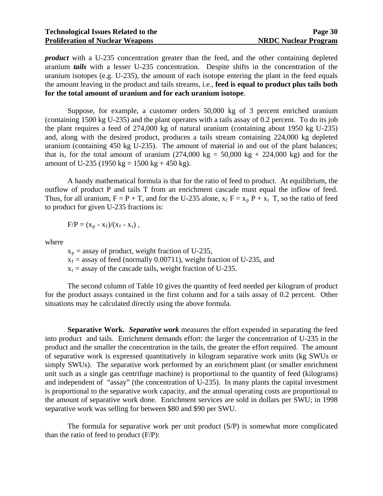*product* with a U-235 concentration greater than the feed, and the other containing depleted uranium *tails* with a lesser U-235 concentration. Despite shifts in the concentration of the uranium isotopes (e.g. U-235), the amount of each isotope entering the plant in the feed equals the amount leaving in the product and tails streams, i.e., **feed is equal to product plus tails both for the total amount of uranium and for each uranium isotope**.

 Suppose, for example, a customer orders 50,000 kg of 3 percent enriched uranium (containing 1500 kg U-235) and the plant operates with a tails assay of 0.2 percent. To do its job the plant requires a feed of 274,000 kg of natural uranium (containing about 1950 kg U-235) and, along with the desired product, produces a tails stream containing 224,000 kg depleted uranium (containing 450 kg U-235). The amount of material in and out of the plant balances; that is, for the total amount of uranium  $(274,000 \text{ kg} = 50,000 \text{ kg} + 224,000 \text{ kg})$  and for the amount of U-235 (1950 kg = 1500 kg + 450 kg).

 A handy mathematical formula is that for the ratio of feed to product. At equilibrium, the outflow of product P and tails T from an enrichment cascade must equal the inflow of feed. Thus, for all uranium,  $F = P + T$ , and for the U-235 alone,  $x_f F = x_p P + x_t T$ , so the ratio of feed to product for given U-235 fractions is:

$$
F/P = (x_p - x_f)/(x_f - x_t)
$$
,

where

 $x_p$  = assay of product, weight fraction of U-235,  $x_f$  = assay of feed (normally 0.00711), weight fraction of U-235, and  $x_t$  = assay of the cascade tails, weight fraction of U-235.

 The second column of Table 10 gives the quantity of feed needed per kilogram of product for the product assays contained in the first column and for a tails assay of 0.2 percent. Other situations may be calculated directly using the above formula.

**Separative Work.** *Separative work* measures the effort expended in separating the feed into product and tails. Enrichment demands effort: the larger the concentration of U-235 in the product and the smaller the concentration in the tails, the greater the effort required. The amount of separative work is expressed quantitatively in kilogram separative work units (kg SWUs or simply SWUs). The separative work performed by an enrichment plant (or smaller enrichment unit such as a single gas centrifuge machine) is proportional to the quantity of feed (kilograms) and independent of "assay" (the concentration of U-235). In many plants the capital investment is proportional to the separative work capacity, and the annual operating costs are proportional to the amount of separative work done. Enrichment services are sold in dollars per SWU; in 1998 separative work was selling for between \$80 and \$90 per SWU.

 The formula for separative work per unit product (S/P) is somewhat more complicated than the ratio of feed to product (F/P):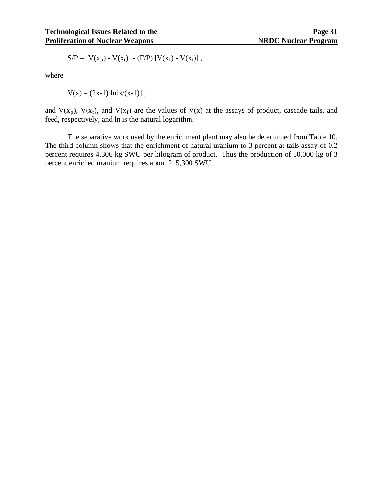$$
S/P = [V(x_p) - V(x_t)] - (F/P) [V(x_f) - V(x_t)],
$$

where

$$
V(x) = (2x-1) \ln[x/(x-1)],
$$

and  $V(x_p)$ ,  $V(x_t)$ , and  $V(x_f)$  are the values of  $V(x)$  at the assays of product, cascade tails, and feed, respectively, and ln is the natural logarithm.

 The separative work used by the enrichment plant may also be determined from Table 10. The third column shows that the enrichment of natural uranium to 3 percent at tails assay of 0.2 percent requires 4.306 kg SWU per kilogram of product. Thus the production of 50,000 kg of 3 percent enriched uranium requires about 215,300 SWU.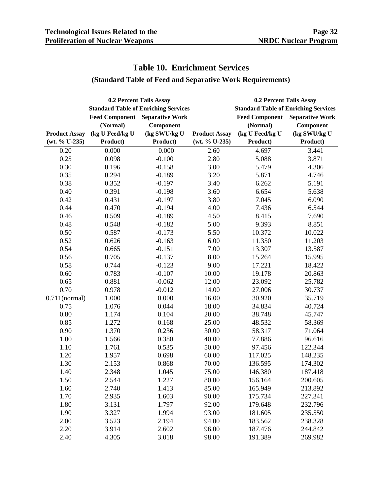# **Table 10. Enrichment Services**

## **(Standard Table of Feed and Separative Work Requirements)**

| 0.2 Percent Tails Assay |                       |                                             | 0.2 Percent Tails Assay |                                             |                        |
|-------------------------|-----------------------|---------------------------------------------|-------------------------|---------------------------------------------|------------------------|
|                         |                       | <b>Standard Table of Enriching Services</b> |                         | <b>Standard Table of Enriching Services</b> |                        |
|                         | <b>Feed Component</b> | <b>Separative Work</b>                      |                         | <b>Feed Component</b>                       | <b>Separative Work</b> |
|                         | (Normal)              | Component                                   |                         | (Normal)                                    | Component              |
| <b>Product Assay</b>    | (kg U Feed/kg U       | (kg SWU/kg U                                | <b>Product Assay</b>    | (kg U Feed/kg U                             | (kg SWU/kg U           |
| (wt. % U-235)           | Product)              | Product)                                    | (wt. % U-235)           | Product)                                    | Product)               |
| 0.20                    | 0.000                 | 0.000                                       | 2.60                    | 4.697                                       | 3.441                  |
| 0.25                    | 0.098                 | $-0.100$                                    | 2.80                    | 5.088                                       | 3.871                  |
| 0.30                    | 0.196                 | $-0.158$                                    | 3.00                    | 5.479                                       | 4.306                  |
| 0.35                    | 0.294                 | $-0.189$                                    | 3.20                    | 5.871                                       | 4.746                  |
| 0.38                    | 0.352                 | $-0.197$                                    | 3.40                    | 6.262                                       | 5.191                  |
| 0.40                    | 0.391                 | $-0.198$                                    | 3.60                    | 6.654                                       | 5.638                  |
| 0.42                    | 0.431                 | $-0.197$                                    | 3.80                    | 7.045                                       | 6.090                  |
| 0.44                    | 0.470                 | $-0.194$                                    | 4.00                    | 7.436                                       | 6.544                  |
| 0.46                    | 0.509                 | $-0.189$                                    | 4.50                    | 8.415                                       | 7.690                  |
| 0.48                    | 0.548                 | $-0.182$                                    | 5.00                    | 9.393                                       | 8.851                  |
| 0.50                    | 0.587                 | $-0.173$                                    | 5.50                    | 10.372                                      | 10.022                 |
| 0.52                    | 0.626                 | $-0.163$                                    | 6.00                    | 11.350                                      | 11.203                 |
| 0.54                    | 0.665                 | $-0.151$                                    | 7.00                    | 13.307                                      | 13.587                 |
| 0.56                    | 0.705                 | $-0.137$                                    | 8.00                    | 15.264                                      | 15.995                 |
| 0.58                    | 0.744                 | $-0.123$                                    | 9.00                    | 17.221                                      | 18.422                 |
| 0.60                    | 0.783                 | $-0.107$                                    | 10.00                   | 19.178                                      | 20.863                 |
| 0.65                    | 0.881                 | $-0.062$                                    | 12.00                   | 23.092                                      | 25.782                 |
| 0.70                    | 0.978                 | $-0.012$                                    | 14.00                   | 27.006                                      | 30.737                 |
| $0.711$ (normal)        | 1.000                 | 0.000                                       | 16.00                   | 30.920                                      | 35.719                 |
| 0.75                    | 1.076                 | 0.044                                       | 18.00                   | 34.834                                      | 40.724                 |
| 0.80                    | 1.174                 | 0.104                                       | 20.00                   | 38.748                                      | 45.747                 |
| 0.85                    | 1.272                 | 0.168                                       | 25.00                   | 48.532                                      | 58.369                 |
| 0.90                    | 1.370                 | 0.236                                       | 30.00                   | 58.317                                      | 71.064                 |
| 1.00                    | 1.566                 | 0.380                                       | 40.00                   | 77.886                                      | 96.616                 |
| 1.10                    | 1.761                 | 0.535                                       | 50.00                   | 97.456                                      | 122.344                |
| 1.20                    | 1.957                 | 0.698                                       | 60.00                   | 117.025                                     | 148.235                |
| 1.30                    | 2.153                 | 0.868                                       | 70.00                   | 136.595                                     | 174.302                |
| 1.40                    | 2.348                 | 1.045                                       | 75.00                   | 146.380                                     | 187.418                |
| 1.50                    | 2.544                 | 1.227                                       | 80.00                   | 156.164                                     | 200.605                |
| 1.60                    | 2.740                 | 1.413                                       | 85.00                   | 165.949                                     | 213.892                |
| 1.70                    | 2.935                 | 1.603                                       | 90.00                   | 175.734                                     | 227.341                |
| 1.80                    | 3.131                 | 1.797                                       | 92.00                   | 179.648                                     | 232.796                |
| 1.90                    | 3.327                 | 1.994                                       | 93.00                   | 181.605                                     | 235.550                |
| 2.00                    | 3.523                 | 2.194                                       | 94.00                   | 183.562                                     | 238.328                |
| 2.20                    | 3.914                 | 2.602                                       | 96.00                   | 187.476                                     | 244.842                |
| 2.40                    | 4.305                 | 3.018                                       | 98.00                   | 191.389                                     | 269.982                |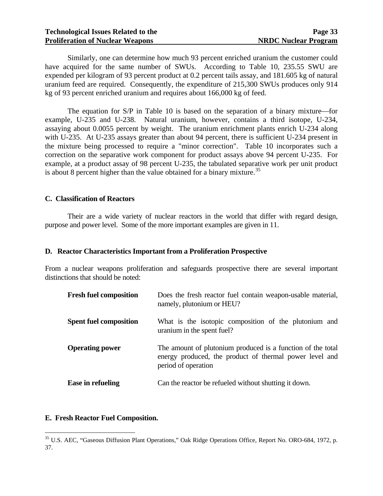Similarly, one can determine how much 93 percent enriched uranium the customer could have acquired for the same number of SWUs. According to Table 10, 235.55 SWU are expended per kilogram of 93 percent product at 0.2 percent tails assay, and 181.605 kg of natural uranium feed are required. Consequently, the expenditure of 215,300 SWUs produces only 914 kg of 93 percent enriched uranium and requires about 166,000 kg of feed.

The equation for  $S/P$  in Table 10 is based on the separation of a binary mixture—for example, U-235 and U-238. Natural uranium, however, contains a third isotope, U-234, assaying about 0.0055 percent by weight. The uranium enrichment plants enrich U-234 along with U-235. At U-235 assays greater than about 94 percent, there is sufficient U-234 present in the mixture being processed to require a "minor correction". Table 10 incorporates such a correction on the separative work component for product assays above 94 percent U-235. For example, at a product assay of 98 percent U-235, the tabulated separative work per unit product is about 8 percent higher than the value obtained for a binary mixture.<sup>[35](#page-37-0)</sup>

#### **C. Classification of Reactors**

 Their are a wide variety of nuclear reactors in the world that differ with regard design, purpose and power level. Some of the more important examples are given in 11.

#### **D. Reactor Characteristics Important from a Proliferation Prospective**

From a nuclear weapons proliferation and safeguards prospective there are several important distinctions that should be noted:

| <b>Fresh fuel composition</b> | Does the fresh reactor fuel contain weapon-usable material,<br>namely, plutonium or HEU?                                                      |
|-------------------------------|-----------------------------------------------------------------------------------------------------------------------------------------------|
| <b>Spent fuel composition</b> | What is the isotopic composition of the plutonium and<br>uranium in the spent fuel?                                                           |
| <b>Operating power</b>        | The amount of plutonium produced is a function of the total<br>energy produced, the product of thermal power level and<br>period of operation |
| Ease in refueling             | Can the reactor be refueled without shutting it down.                                                                                         |

#### **E. Fresh Reactor Fuel Composition.**

 $\overline{a}$ 

<span id="page-37-0"></span><sup>&</sup>lt;sup>35</sup> U.S. AEC, "Gaseous Diffusion Plant Operations," Oak Ridge Operations Office, Report No. ORO-684, 1972, p. 37.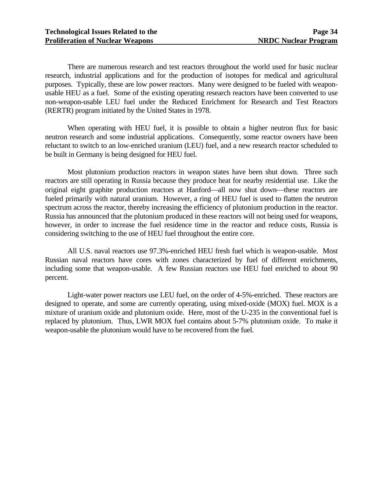There are numerous research and test reactors throughout the world used for basic nuclear research, industrial applications and for the production of isotopes for medical and agricultural purposes. Typically, these are low power reactors. Many were designed to be fueled with weaponusable HEU as a fuel. Some of the existing operating research reactors have been converted to use non-weapon-usable LEU fuel under the Reduced Enrichment for Research and Test Reactors (RERTR) program initiated by the United States in 1978.

 When operating with HEU fuel, it is possible to obtain a higher neutron flux for basic neutron research and some industrial applications. Consequently, some reactor owners have been reluctant to switch to an low-enriched uranium (LEU) fuel, and a new research reactor scheduled to be built in Germany is being designed for HEU fuel.

 Most plutonium production reactors in weapon states have been shut down. Three such reactors are still operating in Russia because they produce heat for nearby residential use. Like the original eight graphite production reactors at Hanford—all now shut down—these reactors are fueled primarily with natural uranium. However, a ring of HEU fuel is used to flatten the neutron spectrum across the reactor, thereby increasing the efficiency of plutonium production in the reactor. Russia has announced that the plutonium produced in these reactors will not being used for weapons, however, in order to increase the fuel residence time in the reactor and reduce costs, Russia is considering switching to the use of HEU fuel throughout the entire core.

 All U.S. naval reactors use 97.3%-enriched HEU fresh fuel which is weapon-usable. Most Russian naval reactors have cores with zones characterized by fuel of different enrichments, including some that weapon-usable. A few Russian reactors use HEU fuel enriched to about 90 percent.

 Light-water power reactors use LEU fuel, on the order of 4-5%-enriched. These reactors are designed to operate, and some are currently operating, using mixed-oxide (MOX) fuel. MOX is a mixture of uranium oxide and plutonium oxide. Here, most of the U-235 in the conventional fuel is replaced by plutonium. Thus, LWR MOX fuel contains about 5-7% plutonium oxide. To make it weapon-usable the plutonium would have to be recovered from the fuel.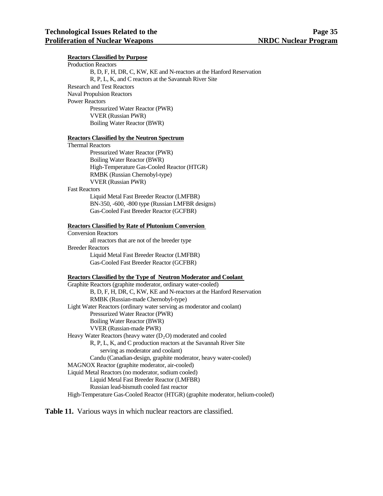#### **Reactors Classified by Purpose**

| <b>Production Reactors</b>                                          |
|---------------------------------------------------------------------|
| B, D, F, H, DR, C, KW, KE and N-reactors at the Hanford Reservation |
| R, P, L, K, and C reactors at the Savannah River Site               |
| <b>Research and Test Reactors</b>                                   |
| <b>Naval Propulsion Reactors</b>                                    |
| <b>Power Reactors</b>                                               |
| Pressurized Water Reactor (PWR)                                     |
| <b>VVER (Russian PWR)</b>                                           |
| Boiling Water Reactor (BWR)                                         |

#### **Reactors Classified by the Neutron Spectrum**

| <b>Thermal Reactors</b> |                                            |
|-------------------------|--------------------------------------------|
|                         | Pressurized Water Reactor (PWR)            |
|                         | Boiling Water Reactor (BWR)                |
|                         | High-Temperature Gas-Cooled Reactor (HTGR) |
|                         | RMBK (Russian Chernobyl-type)              |
|                         | <b>VVER (Russian PWR)</b>                  |
| <b>Fast Reactors</b>    |                                            |

 Liquid Metal Fast Breeder Reactor (LMFBR) BN-350, -600, -800 type (Russian LMFBR designs) Gas-Cooled Fast Breeder Reactor (GCFBR)

#### **Reactors Classified by Rate of Plutonium Conversion**

 Conversion Reactors all reactors that are not of the breeder type Breeder Reactors Liquid Metal Fast Breeder Reactor (LMFBR) Gas-Cooled Fast Breeder Reactor (GCFBR)

#### **Reactors Classified by the Type of Neutron Moderator and Coolant**

 Graphite Reactors (graphite moderator, ordinary water-cooled) B, D, F, H, DR, C, KW, KE and N-reactors at the Hanford Reservation RMBK (Russian-made Chernobyl-type) Light Water Reactors (ordinary water serving as moderator and coolant) Pressurized Water Reactor (PWR) Boiling Water Reactor (BWR) VVER (Russian-made PWR) Heavy Water Reactors (heavy water  $(D<sub>2</sub>O)$  moderated and cooled R, P, L, K, and C production reactors at the Savannah River Site serving as moderator and coolant) Candu (Canadian-design, graphite moderator, heavy water-cooled) MAGNOX Reactor (graphite moderator, air-cooled) Liquid Metal Reactors (no moderator, sodium cooled) Liquid Metal Fast Breeder Reactor (LMFBR) Russian lead-bismuth cooled fast reactor High-Temperature Gas-Cooled Reactor (HTGR) (graphite moderator, helium-cooled)

**Table 11.** Various ways in which nuclear reactors are classified.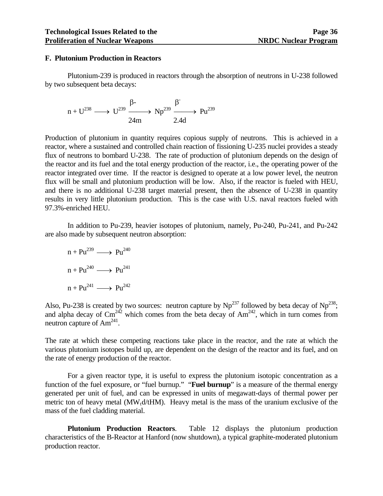#### **F. Plutonium Production in Reactors**

 Plutonium-239 is produced in reactors through the absorption of neutrons in U-238 followed by two subsequent beta decays:

$$
n + U^{238} \longrightarrow U^{239} \xrightarrow{\beta-} Np^{239} \xrightarrow{\beta} Pu^{239}
$$
  
2.4d

Production of plutonium in quantity requires copious supply of neutrons. This is achieved in a reactor, where a sustained and controlled chain reaction of fissioning U-235 nuclei provides a steady flux of neutrons to bombard U-238. The rate of production of plutonium depends on the design of the reactor and its fuel and the total energy production of the reactor, i.e., the operating power of the reactor integrated over time. If the reactor is designed to operate at a low power level, the neutron flux will be small and plutonium production will be low. Also, if the reactor is fueled with HEU, and there is no additional U-238 target material present, then the absence of U-238 in quantity results in very little plutonium production. This is the case with U.S. naval reactors fueled with 97.3%-enriched HEU.

 In addition to Pu-239, heavier isotopes of plutonium, namely, Pu-240, Pu-241, and Pu-242 are also made by subsequent neutron absorption:

$$
n + Pu^{239} \longrightarrow Pu^{240}
$$
  
\n
$$
n + Pu^{240} \longrightarrow Pu^{241}
$$
  
\n
$$
n + Pu^{241} \longrightarrow Pu^{242}
$$

Also, Pu-238 is created by two sources: neutron capture by  $Np^{237}$  followed by beta decay of  $Np^{238}$ ; and alpha decay of  $\text{Cm}^{242}$  which comes from the beta decay of  $\text{Am}^{242}$ , which in turn comes from neutron capture of  $Am<sup>241</sup>$ .

The rate at which these competing reactions take place in the reactor, and the rate at which the various plutonium isotopes build up, are dependent on the design of the reactor and its fuel, and on the rate of energy production of the reactor.

 For a given reactor type, it is useful to express the plutonium isotopic concentration as a function of the fuel exposure, or "fuel burnup." "**Fuel burnup**" is a measure of the thermal energy generated per unit of fuel, and can be expressed in units of megawatt-days of thermal power per metric ton of heavy metal ( $MW_t d / tHM$ ). Heavy metal is the mass of the uranium exclusive of the mass of the fuel cladding material.

**Plutonium Production Reactors**. Table 12 displays the plutonium production characteristics of the B-Reactor at Hanford (now shutdown), a typical graphite-moderated plutonium production reactor.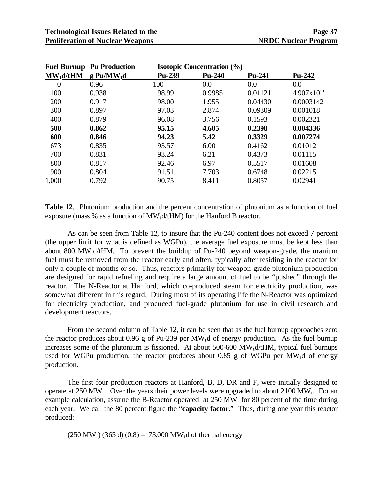| <b>Fuel Burnup</b> | <b>Pu Production</b>     | <b>Isotopic Concentration (%)</b> |          |         |                        |
|--------------------|--------------------------|-----------------------------------|----------|---------|------------------------|
| $MW_t d/tHM$       | $g$ Pu/MW <sub>t</sub> d | Pu-239                            | $Pu-240$ | Pu-241  | Pu-242                 |
| 0                  | 0.96                     | 100                               | 0.0      | 0.0     | 0.0                    |
| 100                | 0.938                    | 98.99                             | 0.9985   | 0.01121 | $4.907 \times 10^{-5}$ |
| 200                | 0.917                    | 98.00                             | 1.955    | 0.04430 | 0.0003142              |
| 300                | 0.897                    | 97.03                             | 2.874    | 0.09309 | 0.001018               |
| 400                | 0.879                    | 96.08                             | 3.756    | 0.1593  | 0.002321               |
| 500                | 0.862                    | 95.15                             | 4.605    | 0.2398  | 0.004336               |
| 600                | 0.846                    | 94.23                             | 5.42     | 0.3329  | 0.007274               |
| 673                | 0.835                    | 93.57                             | 6.00     | 0.4162  | 0.01012                |
| 700                | 0.831                    | 93.24                             | 6.21     | 0.4373  | 0.01115                |
| 800                | 0.817                    | 92.46                             | 6.97     | 0.5517  | 0.01608                |
| 900                | 0.804                    | 91.51                             | 7.703    | 0.6748  | 0.02215                |
| 1,000              | 0.792                    | 90.75                             | 8.411    | 0.8057  | 0.02941                |

**Table 12**. Plutonium production and the percent concentration of plutonium as a function of fuel exposure (mass  $%$  as a function of MW<sub>t</sub>d/tHM) for the Hanford B reactor.

 As can be seen from Table 12, to insure that the Pu-240 content does not exceed 7 percent (the upper limit for what is defined as WGPu), the average fuel exposure must be kept less than about 800 MW<sub>t</sub> $d$ /tHM. To prevent the buildup of Pu-240 beyond weapon-grade, the uranium fuel must be removed from the reactor early and often, typically after residing in the reactor for only a couple of months or so. Thus, reactors primarily for weapon-grade plutonium production are designed for rapid refueling and require a large amount of fuel to be "pushed" through the reactor. The N-Reactor at Hanford, which co-produced steam for electricity production, was somewhat different in this regard. During most of its operating life the N-Reactor was optimized for electricity production, and produced fuel-grade plutonium for use in civil research and development reactors.

 From the second column of Table 12, it can be seen that as the fuel burnup approaches zero the reactor produces about 0.96 g of Pu-239 per MW<sub>t</sub>d of energy production. As the fuel burnup increases some of the plutonium is fissioned. At about  $500-600$  MW<sub>t</sub>d/tHM, typical fuel burnups used for WGPu production, the reactor produces about 0.85 g of WGPu per  $MW<sub>t</sub>$ d of energy production.

 The first four production reactors at Hanford, B, D, DR and F, were initially designed to operate at 250 MW<sub>t</sub>. Over the years their power levels were upgraded to about 2100 MW<sub>t</sub>. For an example calculation, assume the B-Reactor operated at  $250 \text{ MW}$ <sub>t</sub> for 80 percent of the time during each year. We call the 80 percent figure the "**capacity factor**." Thus, during one year this reactor produced:

 $(250 \text{ MW}_1)$  (365 d) (0.8) = 73,000 MW<sub>t</sub>d of thermal energy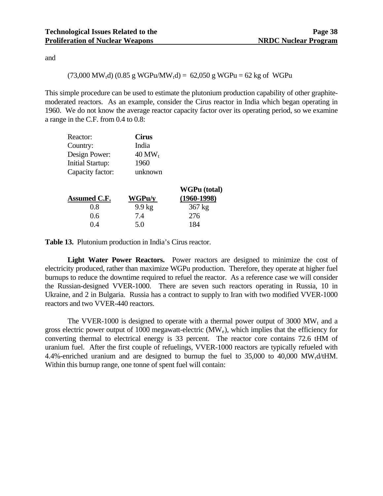and

#### $(73,000 \text{ MW}<sub>t</sub>d)$   $(0.85 \text{ g WGPu/MW}<sub>t</sub>d) = 62,050 \text{ g WGPu} = 62 \text{ kg of WGPu}$

This simple procedure can be used to estimate the plutonium production capability of other graphitemoderated reactors. As an example, consider the Cirus reactor in India which began operating in 1960. We do not know the average reactor capacity factor over its operating period, so we examine a range in the C.F. from 0.4 to 0.8:

| <b>Cirus</b>         |
|----------------------|
| India                |
| $40$ MW <sub>t</sub> |
| 1960                 |
| unknown              |
|                      |

|                     |                  | WGPu (total)  |
|---------------------|------------------|---------------|
| <b>Assumed C.F.</b> | WGPu/y           | $(1960-1998)$ |
| 0.8                 | $9.9 \text{ kg}$ | $367$ kg      |
| 0.6                 | 7.4              | 276           |
| () 4                | 5.0              | 184           |

**Table 13.** Plutonium production in India's Cirus reactor.

**Light Water Power Reactors.** Power reactors are designed to minimize the cost of electricity produced, rather than maximize WGPu production. Therefore, they operate at higher fuel burnups to reduce the downtime required to refuel the reactor. As a reference case we will consider the Russian-designed VVER-1000. There are seven such reactors operating in Russia, 10 in Ukraine, and 2 in Bulgaria. Russia has a contract to supply to Iran with two modified VVER-1000 reactors and two VVER-440 reactors.

The VVER-1000 is designed to operate with a thermal power output of 3000  $MW_t$  and a gross electric power output of 1000 megawatt-electric (MWe), which implies that the efficiency for converting thermal to electrical energy is 33 percent. The reactor core contains 72.6 tHM of uranium fuel. After the first couple of refuelings, VVER-1000 reactors are typically refueled with 4.4%-enriched uranium and are designed to burnup the fuel to  $35,000$  to  $40,000$  MW<sub>t</sub>d/tHM. Within this burnup range, one tonne of spent fuel will contain: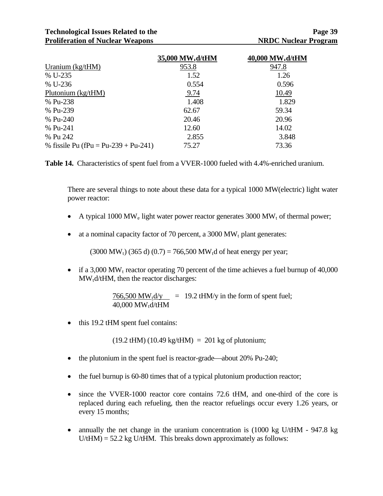### **Technological Issues Related to the Page 39**  Page 39 **Proliferation of Nuclear Weapons NRDC Nuclear Program**

|                                      | 35,000 MW <sub>t</sub> d/tHM | 40,000 MW <sub>t</sub> d/tHM |
|--------------------------------------|------------------------------|------------------------------|
| Uranium $(kg/HM)$                    | 953.8                        | 947.8                        |
| % U-235                              | 1.52                         | 1.26                         |
| % U-236                              | 0.554                        | 0.596                        |
| Plutonium $(kg/HM)$                  | 9.74                         | 10.49                        |
| % Pu-238                             | 1.408                        | 1.829                        |
| % Pu-239                             | 62.67                        | 59.34                        |
| % Pu-240                             | 20.46                        | 20.96                        |
| % Pu-241                             | 12.60                        | 14.02                        |
| % Pu 242                             | 2.855                        | 3.848                        |
| % fissile Pu (fPu = Pu-239 + Pu-241) | 75.27                        | 73.36                        |

**Table 14.** Characteristics of spent fuel from a VVER-1000 fueled with 4.4%-enriched uranium.

There are several things to note about these data for a typical 1000 MW(electric) light water power reactor:

- A typical 1000 MW<sub>e</sub> light water power reactor generates 3000 MW<sub>t</sub> of thermal power;
- at a nominal capacity factor of 70 percent, a  $3000 \text{ MW}_t$  plant generates:

 $(3000 \text{ MW}_1) (365 \text{ d}) (0.7) = 766,500 \text{ MW}_1 \text{ d}$  of heat energy per year;

• if a 3,000 MW<sub>t</sub> reactor operating 70 percent of the time achieves a fuel burnup of 40,000  $MW_t d/tHM$ , then the reactor discharges:

> 766,500 MW<sub>t</sub>d/y = 19.2 tHM/y in the form of spent fuel; 40,000  $MW_t d/tHM$

• this 19.2 tHM spent fuel contains:

 $(19.2 \text{ tHM}) (10.49 \text{ kg/tHM}) = 201 \text{ kg of}\text{ photonium};$ 

- the plutonium in the spent fuel is reactor-grade—about 20% Pu-240;
- the fuel burnup is 60-80 times that of a typical plutonium production reactor;
- since the VVER-1000 reactor core contains 72.6 tHM, and one-third of the core is replaced during each refueling, then the reactor refuelings occur every 1.26 years, or every 15 months;
- annually the net change in the uranium concentration is (1000 kg U/tHM 947.8 kg  $U/tHM$  = 52.2 kg U/tHM. This breaks down approximately as follows: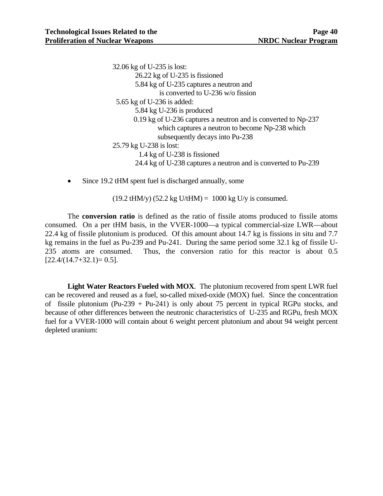32.06 kg of U-235 is lost: 26.22 kg of U-235 is fissioned 5.84 kg of U-235 captures a neutron and is converted to U-236 w/o fission 5.65 kg of U-236 is added: 5.84 kg U-236 is produced 0.19 kg of U-236 captures a neutron and is converted to Np-237 which captures a neutron to become Np-238 which subsequently decays into Pu-238 25.79 kg U-238 is lost: 1.4 kg of U-238 is fissioned 24.4 kg of U-238 captures a neutron and is converted to Pu-239

• Since 19.2 tHM spent fuel is discharged annually, some

 $(19.2 \text{ tHM/y}) (52.2 \text{ kg U/tHM}) = 1000 \text{ kg U/y}$  is consumed.

 The **conversion ratio** is defined as the ratio of fissile atoms produced to fissile atoms consumed. On a per tHM basis, in the VVER-1000—a typical commercial-size LWR—about 22.4 kg of fissile plutonium is produced. Of this amount about 14.7 kg is fissions in situ and 7.7 kg remains in the fuel as Pu-239 and Pu-241. During the same period some 32.1 kg of fissile U-235 atoms are consumed. Thus, the conversion ratio for this reactor is about 0.5  $[22.4/(14.7+32.1)=0.5]$ .

**Light Water Reactors Fueled with MOX**. The plutonium recovered from spent LWR fuel can be recovered and reused as a fuel, so-called mixed-oxide (MOX) fuel. Since the concentration of fissile plutonium (Pu-239 + Pu-241) is only about 75 percent in typical RGPu stocks, and because of other differences between the neutronic characteristics of U-235 and RGPu, fresh MOX fuel for a VVER-1000 will contain about 6 weight percent plutonium and about 94 weight percent depleted uranium: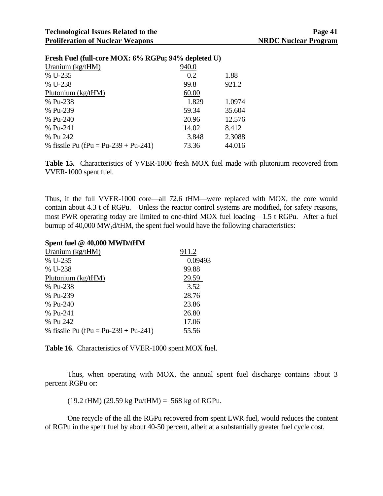|                             | Page 41 |
|-----------------------------|---------|
| <b>NRDC Nuclear Program</b> |         |

| $\Gamma$ result we than core in $\Delta \lambda$ , $\theta$ /0 in the $\theta$ , $\lambda$ + /0 depicted $\theta$ / |       |        |  |  |
|---------------------------------------------------------------------------------------------------------------------|-------|--------|--|--|
| Uranium (kg/tHM)                                                                                                    | 940.0 |        |  |  |
| % U-235                                                                                                             | 0.2   | 1.88   |  |  |
| % U-238                                                                                                             | 99.8  | 921.2  |  |  |
| Plutonium (kg/tHM)                                                                                                  | 60.00 |        |  |  |
| % Pu-238                                                                                                            | 1.829 | 1.0974 |  |  |
| % Pu-239                                                                                                            | 59.34 | 35.604 |  |  |
| % Pu-240                                                                                                            | 20.96 | 12.576 |  |  |
| % Pu-241                                                                                                            | 14.02 | 8.412  |  |  |
| % Pu 242                                                                                                            | 3.848 | 2.3088 |  |  |
| % fissile Pu (fPu = Pu-239 + Pu-241)                                                                                | 73.36 | 44.016 |  |  |
|                                                                                                                     |       |        |  |  |

### Fresh Fuel (full-core MOV: 60/<sub>2</sub> RCPu; 040/<sub>2</sub> depleted U)

**Table 15.** Characteristics of VVER-1000 fresh MOX fuel made with plutonium recovered from VVER-1000 spent fuel.

Thus, if the full VVER-1000 core—all 72.6 tHM—were replaced with MOX, the core would contain about 4.3 t of RGPu. Unless the reactor control systems are modified, for safety reasons, most PWR operating today are limited to one-third MOX fuel loading—1.5 t RGPu. After a fuel burnup of  $40,000 \text{ MW}_t \frac{d}{t}$  MM, the spent fuel would have the following characteristics:

#### **Spent fuel @ 40,000 MWD/tHM**

| Uranium $(kg/tHM)$                   | 911.2   |
|--------------------------------------|---------|
| % U-235                              | 0.09493 |
| % U-238                              | 99.88   |
| Plutonium (kg/tHM)                   | 29.59   |
| % Pu-238                             | 3.52    |
| % Pu-239                             | 28.76   |
| % Pu-240                             | 23.86   |
| % Pu-241                             | 26.80   |
| % Pu 242                             | 17.06   |
| % fissile Pu (fPu = Pu-239 + Pu-241) | 55.56   |

**Table 16**. Characteristics of VVER-1000 spent MOX fuel.

 Thus, when operating with MOX, the annual spent fuel discharge contains about 3 percent RGPu or:

 $(19.2$  tHM)  $(29.59 \text{ kg} \text{ Pu/thM}) = 568 \text{ kg of RGPu.}$ 

 One recycle of the all the RGPu recovered from spent LWR fuel, would reduces the content of RGPu in the spent fuel by about 40-50 percent, albeit at a substantially greater fuel cycle cost.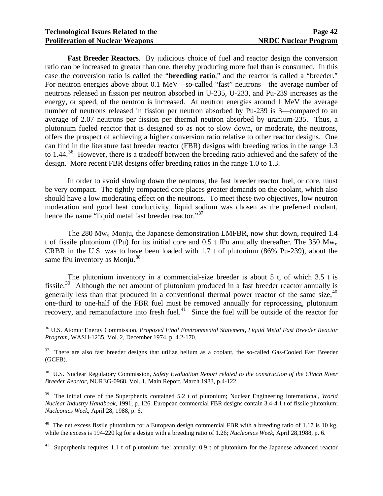$\overline{a}$ 

**Fast Breeder Reactors**. By judicious choice of fuel and reactor design the conversion ratio can be increased to greater than one, thereby producing more fuel than is consumed. In this case the conversion ratio is called the "**breeding ratio**," and the reactor is called a "breeder." For neutron energies above about 0.1 MeV—so-called "fast" neutrons—the average number of neutrons released in fission per neutron absorbed in U-235, U-233, and Pu-239 increases as the energy, or speed, of the neutron is increased. At neutron energies around 1 MeV the average number of neutrons released in fission per neutron absorbed by Pu-239 is 3—compared to an average of 2.07 neutrons per fission per thermal neutron absorbed by uranium-235. Thus, a plutonium fueled reactor that is designed so as not to slow down, or moderate, the neutrons, offers the prospect of achieving a higher conversion ratio relative to other reactor designs. One can find in the literature fast breeder reactor (FBR) designs with breeding ratios in the range 1.3 to 1.44.<sup>[36](#page-46-0)</sup> However, there is a tradeoff between the breeding ratio achieved and the safety of the design. More recent FBR designs offer breeding ratios in the range 1.0 to 1.3.

 In order to avoid slowing down the neutrons, the fast breeder reactor fuel, or core, must be very compact. The tightly compacted core places greater demands on the coolant, which also should have a low moderating effect on the neutrons. To meet these two objectives, low neutron moderation and good heat conductivity, liquid sodium was chosen as the preferred coolant, hence the name "liquid metal fast breeder reactor."<sup>[37](#page-46-1)</sup>

 The 280 Mwe Monju, the Japanese demonstration LMFBR, now shut down, required 1.4 t of fissile plutonium (fPu) for its initial core and  $0.5$  t fPu annually thereafter. The 350 Mw<sub>e</sub> CRBR in the U.S. was to have been loaded with 1.7 t of plutonium (86% Pu-239), about the same fPu inventory as Monju. $38$ 

 The plutonium inventory in a commercial-size breeder is about 5 t, of which 3.5 t is fissile.<sup>[39](#page-46-3)</sup> Although the net amount of plutonium produced in a fast breeder reactor annually is generally less than that produced in a conventional thermal power reactor of the same size,  $40$ one-third to one-half of the FBR fuel must be removed annually for reprocessing, plutonium recovery, and remanufacture into fresh fuel.[41](#page-46-5) Since the fuel will be outside of the reactor for

<span id="page-46-3"></span>39 The initial core of the Superphenix contained 5.2 t of plutonium; Nuclear Engineering International, *World Nuclear Industry Handbook*, 1991, p. 126. European commercial FBR designs contain 3.4-4.1 t of fissile plutonium; *Nucleonics Week*, April 28, 1988, p. 6.

<span id="page-46-4"></span> $40$  The net excess fissile plutonium for a European design commercial FBR with a breeding ratio of 1.17 is 10 kg, while the excess is 194-220 kg for a design with a breeding ratio of 1.26; *Nucleonics Week*, April 28,1988, p. 6.

<span id="page-46-5"></span>Superphenix requires 1.1 t of plutonium fuel annually; 0.9 t of plutonium for the Japanese advanced reactor

<span id="page-46-0"></span><sup>36</sup> U.S. Atomic Energy Commission, *Proposed Final Environmental Statement, Liquid Metal Fast Breeder Reactor Program*, WASH-1235, Vol. 2, December 1974, p. 4.2-170.

<span id="page-46-1"></span><sup>&</sup>lt;sup>37</sup> There are also fast breeder designs that utilize helium as a coolant, the so-called Gas-Cooled Fast Breeder (GCFB).

<span id="page-46-2"></span><sup>38</sup> U.S. Nuclear Regulatory Commission, *Safety Evaluation Report related to the construction of the Clinch River Breeder Reactor*, NUREG-0968, Vol. 1, Main Report, March 1983, p.4-122.